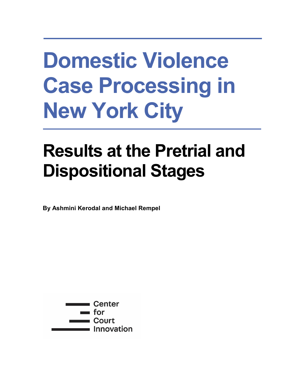# **Domestic Violence Case Processing in New York City**

# **Results at the Pretrial and Dispositional Stages**

**By Ashmini Kerodal and Michael Rempel**

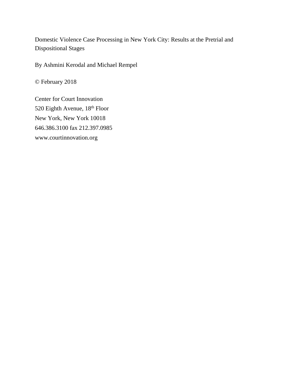Domestic Violence Case Processing in New York City: Results at the Pretrial and Dispositional Stages

By Ashmini Kerodal and Michael Rempel

© February 2018

Center for Court Innovation 520 Eighth Avenue, 18<sup>th</sup> Floor New York, New York 10018 646.386.3100 fax 212.397.0985 www.courtinnovation.org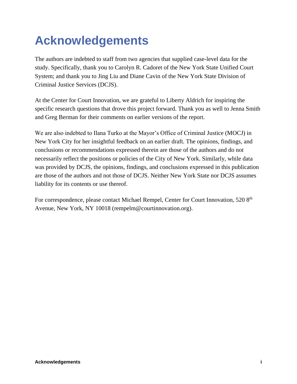# **Acknowledgements**

The authors are indebted to staff from two agencies that supplied case-level data for the study. Specifically, thank you to Carolyn R. Cadoret of the New York State Unified Court System; and thank you to Jing Liu and Diane Cavin of the New York State Division of Criminal Justice Services (DCJS).

At the Center for Court Innovation, we are grateful to Liberty Aldrich for inspiring the specific research questions that drove this project forward. Thank you as well to Jenna Smith and Greg Berman for their comments on earlier versions of the report.

We are also indebted to Ilana Turko at the Mayor's Office of Criminal Justice (MOCJ) in New York City for her insightful feedback on an earlier draft. The opinions, findings, and conclusions or recommendations expressed therein are those of the authors and do not necessarily reflect the positions or policies of the City of New York. Similarly, while data was provided by DCJS, the opinions, findings, and conclusions expressed in this publication are those of the authors and not those of DCJS. Neither New York State nor DCJS assumes liability for its contents or use thereof.

For correspondence, please contact Michael Rempel, Center for Court Innovation, 520 8<sup>th</sup> Avenue, New York, NY 10018 (rempelm@courtinnovation.org).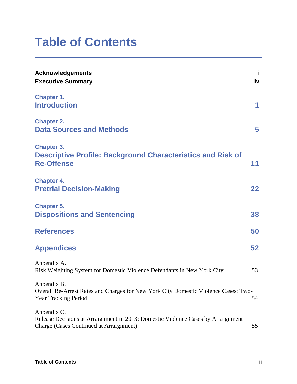## **Table of Contents**

| <b>Acknowledgements</b><br><b>Executive Summary</b>                                                                                        | j<br>iv |
|--------------------------------------------------------------------------------------------------------------------------------------------|---------|
| <b>Chapter 1.</b><br><b>Introduction</b>                                                                                                   | 1       |
| <b>Chapter 2.</b><br><b>Data Sources and Methods</b>                                                                                       | 5       |
| <b>Chapter 3.</b><br><b>Descriptive Profile: Background Characteristics and Risk of</b><br><b>Re-Offense</b>                               | 11      |
| <b>Chapter 4.</b><br><b>Pretrial Decision-Making</b>                                                                                       | 22      |
| <b>Chapter 5.</b><br><b>Dispositions and Sentencing</b>                                                                                    | 38      |
| <b>References</b>                                                                                                                          | 50      |
| <b>Appendices</b>                                                                                                                          | 52      |
| Appendix A.<br>Risk Weighting System for Domestic Violence Defendants in New York City                                                     | 53      |
| Appendix B.<br>Overall Re-Arrest Rates and Charges for New York City Domestic Violence Cases: Two-<br>Year Tracking Period                 | 54      |
| Appendix C.<br>Release Decisions at Arraignment in 2013: Domestic Violence Cases by Arraignment<br>Charge (Cases Continued at Arraignment) | 55      |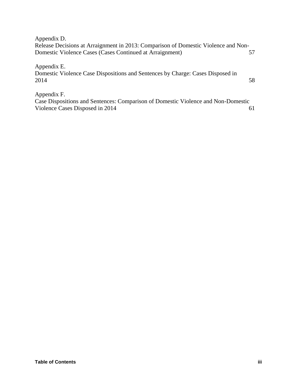| Appendix D.                                                                        |          |
|------------------------------------------------------------------------------------|----------|
| Release Decisions at Arraignment in 2013: Comparison of Domestic Violence and Non- |          |
| Domestic Violence Cases (Cases Continued at Arraignment)                           |          |
|                                                                                    |          |
| Appendix E.                                                                        |          |
| Domestic Violence Case Dispositions and Sentences by Charge: Cases Disposed in     |          |
| 2014                                                                               | 58       |
|                                                                                    |          |
| Appendix F.                                                                        |          |
| Case Dispositions and Sentences: Comparison of Domestic Violence and Non-Domestic  |          |
| Violence Cases Disposed in 2014                                                    | $\sigma$ |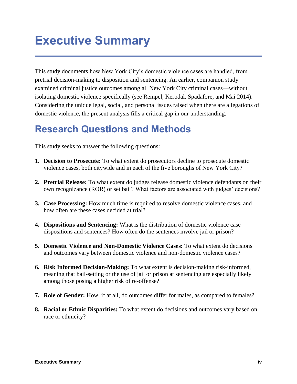## **Executive Summary**

This study documents how New York City's domestic violence cases are handled, from pretrial decision-making to disposition and sentencing. An earlier, companion study examined criminal justice outcomes among all New York City criminal cases—without isolating domestic violence specifically (see Rempel, Kerodal, Spadafore, and Mai 2014). Considering the unique legal, social, and personal issues raised when there are allegations of domestic violence, the present analysis fills a critical gap in our understanding.

### **Research Questions and Methods**

This study seeks to answer the following questions:

- **1. Decision to Prosecute:** To what extent do prosecutors decline to prosecute domestic violence cases, both citywide and in each of the five boroughs of New York City?
- **2. Pretrial Release:** To what extent do judges release domestic violence defendants on their own recognizance (ROR) or set bail? What factors are associated with judges' decisions?
- **3. Case Processing:** How much time is required to resolve domestic violence cases, and how often are these cases decided at trial?
- **4. Dispositions and Sentencing:** What is the distribution of domestic violence case dispositions and sentences? How often do the sentences involve jail or prison?
- **5. Domestic Violence and Non-Domestic Violence Cases:** To what extent do decisions and outcomes vary between domestic violence and non-domestic violence cases?
- **6. Risk Informed Decision-Making:** To what extent is decision-making risk-informed, meaning that bail-setting or the use of jail or prison at sentencing are especially likely among those posing a higher risk of re-offense?
- **7. Role of Gender:** How, if at all, do outcomes differ for males, as compared to females?
- **8. Racial or Ethnic Disparities:** To what extent do decisions and outcomes vary based on race or ethnicity?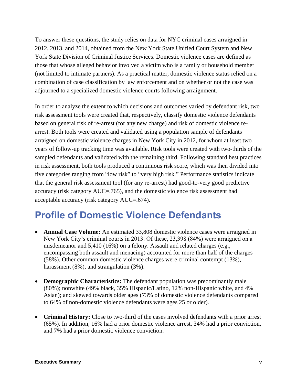To answer these questions, the study relies on data for NYC criminal cases arraigned in 2012, 2013, and 2014, obtained from the New York State Unified Court System and New York State Division of Criminal Justice Services. Domestic violence cases are defined as those that whose alleged behavior involved a victim who is a family or household member (not limited to intimate partners). As a practical matter, domestic violence status relied on a combination of case classification by law enforcement and on whether or not the case was adjourned to a specialized domestic violence courts following arraignment.

In order to analyze the extent to which decisions and outcomes varied by defendant risk, two risk assessment tools were created that, respectively, classify domestic violence defendants based on general risk of re-arrest (for any new charge) and risk of domestic violence rearrest. Both tools were created and validated using a population sample of defendants arraigned on domestic violence charges in New York City in 2012, for whom at least two years of follow-up tracking time was available. Risk tools were created with two-thirds of the sampled defendants and validated with the remaining third. Following standard best practices in risk assessment, both tools produced a continuous risk score, which was then divided into five categories ranging from "low risk" to "very high risk." Performance statistics indicate that the general risk assessment tool (for any re-arrest) had good-to-very good predictive accuracy (risk category AUC=.765), and the domestic violence risk assessment had acceptable accuracy (risk category AUC=.674).

### **Profile of Domestic Violence Defendants**

- **Annual Case Volume:** An estimated 33,808 domestic violence cases were arraigned in New York City's criminal courts in 2013. Of these, 23,398 (84%) were arraigned on a misdemeanor and 5,410 (16%) on a felony. Assault and related charges (e.g., encompassing both assault and menacing) accounted for more than half of the charges (58%). Other common domestic violence charges were criminal contempt (13%), harassment (8%), and strangulation (3%).
- **Demographic Characteristics:** The defendant population was predominantly male (80%); nonwhite (49% black, 35% Hispanic/Latino, 12% non-Hispanic white, and 4% Asian); and skewed towards older ages (73% of domestic violence defendants compared to 64% of non-domestic violence defendants were ages 25 or older).
- **Criminal History:** Close to two-third of the cases involved defendants with a prior arrest (65%). In addition, 16% had a prior domestic violence arrest, 34% had a prior conviction, and 7% had a prior domestic violence conviction.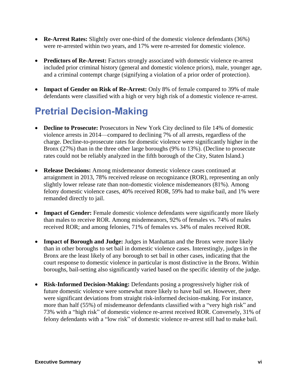- **Re-Arrest Rates:** Slightly over one-third of the domestic violence defendants (36%) were re-arrested within two years, and 17% were re-arrested for domestic violence.
- **Predictors of Re-Arrest:** Factors strongly associated with domestic violence re-arrest included prior criminal history (general and domestic violence priors), male, younger age, and a criminal contempt charge (signifying a violation of a prior order of protection).
- **Impact of Gender on Risk of Re-Arrest:** Only 8% of female compared to 39% of male defendants were classified with a high or very high risk of a domestic violence re-arrest.

### **Pretrial Decision-Making**

- **Decline to Prosecute:** Prosecutors in New York City declined to file 14% of domestic violence arrests in 2014—compared to declining 7% of all arrests, regardless of the charge. Decline-to-prosecute rates for domestic violence were significantly higher in the Bronx (27%) than in the three other large boroughs (9% to 13%). (Decline to prosecute rates could not be reliably analyzed in the fifth borough of the City, Staten Island.)
- **Release Decisions:** Among misdemeanor domestic violence cases continued at arraignment in 2013, 78% received release on recognizance (ROR), representing an only slightly lower release rate than non-domestic violence misdemeanors (81%). Among felony domestic violence cases, 40% received ROR, 59% had to make bail, and 1% were remanded directly to jail.
- **Impact of Gender:** Female domestic violence defendants were significantly more likely than males to receive ROR. Among misdemeanors, 92% of females vs. 74% of males received ROR; and among felonies, 71% of females vs. 34% of males received ROR.
- **Impact of Borough and Judge:** Judges in Manhattan and the Bronx were more likely than in other boroughs to set bail in domestic violence cases. Interestingly, judges in the Bronx are the least likely of any borough to set bail in other cases, indicating that the court response to domestic violence in particular is most distinctive in the Bronx. Within boroughs, bail-setting also significantly varied based on the specific identity of the judge.
- **Risk-Informed Decision-Making:** Defendants posing a progressively higher risk of future domestic violence were somewhat more likely to have bail set. However, there were significant deviations from straight risk-informed decision-making. For instance, more than half (55%) of misdemeanor defendants classified with a "very high risk" and 73% with a "high risk" of domestic violence re-arrest received ROR. Conversely, 31% of felony defendants with a "low risk" of domestic violence re-arrest still had to make bail.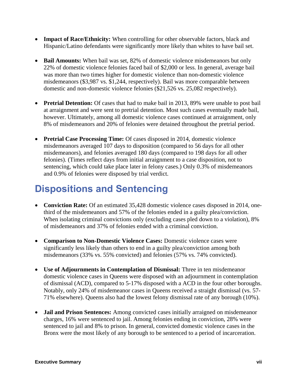- **Impact of Race/Ethnicity:** When controlling for other observable factors, black and Hispanic/Latino defendants were significantly more likely than whites to have bail set.
- **Bail Amounts:** When bail was set, 82% of domestic violence misdemeanors but only 22% of domestic violence felonies faced bail of \$2,000 or less. In general, average bail was more than two times higher for domestic violence than non-domestic violence misdemeanors (\$3,987 vs. \$1,244, respectively). Bail was more comparable between domestic and non-domestic violence felonies (\$21,526 vs. 25,082 respectively).
- **Pretrial Detention:** Of cases that had to make bail in 2013, 89% were unable to post bail at arraignment and were sent to pretrial detention. Most such cases eventually made bail, however. Ultimately, among all domestic violence cases continued at arraignment, only 8% of misdemeanors and 20% of felonies were detained throughout the pretrial period.
- **Pretrial Case Processing Time:** Of cases disposed in 2014, domestic violence misdemeanors averaged 107 days to disposition (compared to 56 days for all other misdemeanors), and felonies averaged 180 days (compared to 198 days for all other felonies). (Times reflect days from initial arraignment to a case disposition, not to sentencing, which could take place later in felony cases.) Only 0.3% of misdemeanors and 0.9% of felonies were disposed by trial verdict.

### **Dispositions and Sentencing**

- **Conviction Rate:** Of an estimated 35,428 domestic violence cases disposed in 2014, onethird of the misdemeanors and 57% of the felonies ended in a guilty plea/conviction. When isolating criminal convictions only (excluding cases pled down to a violation), 8% of misdemeanors and 37% of felonies ended with a criminal conviction.
- **Comparison to Non-Domestic Violence Cases:** Domestic violence cases were significantly less likely than others to end in a guilty plea/conviction among both misdemeanors (33% vs. 55% convicted) and felonies (57% vs. 74% convicted).
- **Use of Adjournments in Contemplation of Dismissal:** Three in ten misdemeanor domestic violence cases in Queens were disposed with an adjournment in contemplation of dismissal (ACD), compared to 5-17% disposed with a ACD in the four other boroughs. Notably, only 24% of misdemeanor cases in Queens received a straight dismissal (vs. 57- 71% elsewhere). Queens also had the lowest felony dismissal rate of any borough (10%).
- **Jail and Prison Sentences:** Among convicted cases initially arraigned on misdemeanor charges, 16% were sentenced to jail. Among felonies ending in conviction, 28% were sentenced to jail and 8% to prison. In general, convicted domestic violence cases in the Bronx were the most likely of any borough to be sentenced to a period of incarceration.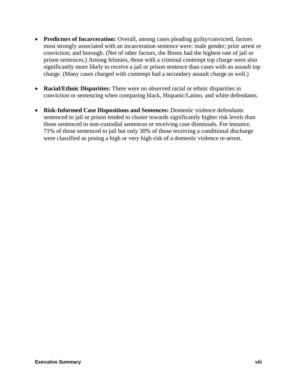- **Predictors of Incarceration:** Overall, among cases pleading guilty/convicted, factors most strongly associated with an incarceration sentence were: male gender; prior arrest or conviction; and borough. (Net of other factors, the Bronx had the highest rate of jail or prison sentences.) Among felonies, those with a criminal contempt top charge were also significantly more likely to receive a jail or prison sentence than cases with an assault top charge. (Many cases charged with contempt had a secondary assault charge as well.)
- **Racial/Ethnic Disparities:** There were no observed racial or ethnic disparities in conviction or sentencing when comparing black, Hispanic/Latino, and white defendants.
- **Risk-Informed Case Dispositions and Sentences:** Domestic violence defendants sentenced to jail or prison tended to cluster towards significantly higher risk levels than those sentenced to non-custodial sentences or receiving case dismissals. For instance, 71% of those sentenced to jail but only 30% of those receiving a conditional discharge were classified as posing a high or very high risk of a domestic violence re-arrest.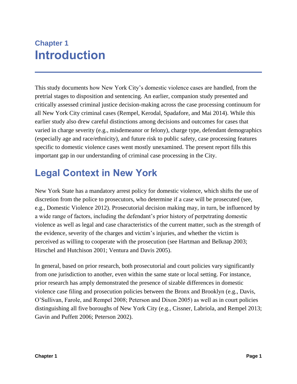### **Chapter 1 Introduction**

This study documents how New York City's domestic violence cases are handled, from the pretrial stages to disposition and sentencing. An earlier, companion study presented and critically assessed criminal justice decision-making across the case processing continuum for all New York City criminal cases (Rempel, Kerodal, Spadafore, and Mai 2014). While this earlier study also drew careful distinctions among decisions and outcomes for cases that varied in charge severity (e.g., misdemeanor or felony), charge type, defendant demographics (especially age and race/ethnicity), and future risk to public safety, case processing features specific to domestic violence cases went mostly unexamined. The present report fills this important gap in our understanding of criminal case processing in the City.

### **Legal Context in New York**

New York State has a mandatory arrest policy for domestic violence, which shifts the use of discretion from the police to prosecutors, who determine if a case will be prosecuted (see, e.g., Domestic Violence 2012). Prosecutorial decision making may, in turn, be influenced by a wide range of factors, including the defendant's prior history of perpetrating domestic violence as well as legal and case characteristics of the current matter, such as the strength of the evidence, severity of the charges and victim's injuries, and whether the victim is perceived as willing to cooperate with the prosecution (see Hartman and Belknap 2003; Hirschel and Hutchison 2001; Ventura and Davis 2005).

In general, based on prior research, both prosecutorial and court policies vary significantly from one jurisdiction to another, even within the same state or local setting. For instance, prior research has amply demonstrated the presence of sizable differences in domestic violence case filing and prosecution policies between the Bronx and Brooklyn (e.g., Davis, O'Sullivan, Farole, and Rempel 2008; Peterson and Dixon 2005) as well as in court policies distinguishing all five boroughs of New York City (e.g., Cissner, Labriola, and Rempel 2013; Gavin and Puffett 2006; Peterson 2002).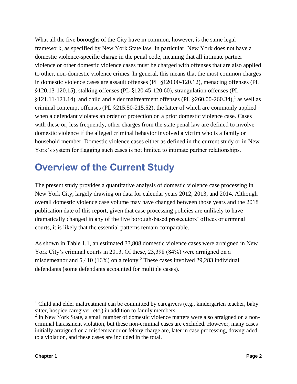What all the five boroughs of the City have in common, however, is the same legal framework, as specified by New York State law. In particular, New York does not have a domestic violence-specific charge in the penal code, meaning that all intimate partner violence or other domestic violence cases must be charged with offenses that are also applied to other, non-domestic violence crimes. In general, this means that the most common charges in domestic violence cases are assault offenses (PL §120.00-120.12), menacing offenses (PL §120.13-120.15), stalking offenses (PL §120.45-120.60), strangulation offenses (PL  $$121.11-121.14$ ), and child and elder maltreatment offenses (PL  $$260.00-260.34$ ),<sup>1</sup> as well as criminal contempt offenses (PL §215.50-215.52), the latter of which are commonly applied when a defendant violates an order of protection on a prior domestic violence case. Cases with these or, less frequently, other charges from the state penal law are defined to involve domestic violence if the alleged criminal behavior involved a victim who is a family or household member. Domestic violence cases either as defined in the current study or in New York's system for flagging such cases is not limited to intimate partner relationships.

### **Overview of the Current Study**

The present study provides a quantitative analysis of domestic violence case processing in New York City, largely drawing on data for calendar years 2012, 2013, and 2014. Although overall domestic violence case volume may have changed between those years and the 2018 publication date of this report, given that case processing policies are unlikely to have dramatically changed in any of the five borough-based prosecutors' offices or criminal courts, it is likely that the essential patterns remain comparable.

As shown in Table 1.1, an estimated 33,808 domestic violence cases were arraigned in New York City's criminal courts in 2013. Of these, 23,398 (84%) were arraigned on a misdemeanor and 5,410 (16%) on a felony.<sup>2</sup> These cases involved 29,283 individual defendants (some defendants accounted for multiple cases).

<sup>&</sup>lt;sup>1</sup> Child and elder maltreatment can be committed by caregivers (e.g., kindergarten teacher, baby sitter, hospice caregiver, etc.) in addition to family members.

<sup>&</sup>lt;sup>2</sup> In New York State, a small number of domestic violence matters were also arraigned on a noncriminal harassment violation, but these non-criminal cases are excluded. However, many cases initially arraigned on a misdemeanor or felony charge are, later in case processing, downgraded to a violation, and these cases are included in the total.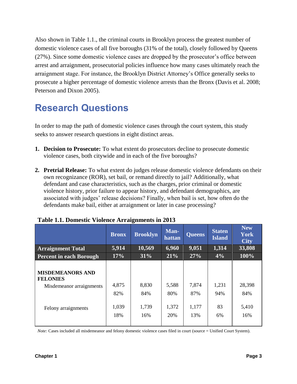Also shown in Table 1.1., the criminal courts in Brooklyn process the greatest number of domestic violence cases of all five boroughs (31% of the total), closely followed by Queens (27%). Since some domestic violence cases are dropped by the prosecutor's office between arrest and arraignment, prosecutorial policies influence how many cases ultimately reach the arraignment stage. For instance, the Brooklyn District Attorney's Office generally seeks to prosecute a higher percentage of domestic violence arrests than the Bronx (Davis et al. 2008; Peterson and Dixon 2005).

### **Research Questions**

In order to map the path of domestic violence cases through the court system, this study seeks to answer research questions in eight distinct areas.

- **1. Decision to Prosecute:** To what extent do prosecutors decline to prosecute domestic violence cases, both citywide and in each of the five boroughs?
- **2. Pretrial Release:** To what extent do judges release domestic violence defendants on their own recognizance (ROR), set bail, or remand directly to jail? Additionally, what defendant and case characteristics, such as the charges, prior criminal or domestic violence history, prior failure to appear history, and defendant demographics, are associated with judges' release decisions? Finally, when bail is set, how often do the defendants make bail, either at arraignment or later in case processing?

|                                                                                               | <b>Bronx</b>                 | <b>Brooklyn</b>              | Man-<br>hattan               | <b>Queens</b>                | <b>Staten</b><br><b>Island</b> | <b>New</b><br><b>York</b><br><b>City</b> |
|-----------------------------------------------------------------------------------------------|------------------------------|------------------------------|------------------------------|------------------------------|--------------------------------|------------------------------------------|
| <b>Arraignment Total</b>                                                                      | 5,914                        | 10,569                       | 6,960                        | 9,051                        | 1,314                          | 33,808                                   |
| <b>Percent in each Borough</b>                                                                | 17%                          | 31%                          | 21%                          | 27%                          | 4%                             | 100%                                     |
| <b>MISDEMEANORS AND</b><br><b>FELONIES</b><br>Misdemeanor arraignments<br>Felony arraignments | 4,875<br>82%<br>1,039<br>18% | 8,830<br>84%<br>1,739<br>16% | 5,588<br>80%<br>1,372<br>20% | 7,874<br>87%<br>1,177<br>13% | 1,231<br>94%<br>83<br>6%       | 28,398<br>84%<br>5,410<br>16%            |

#### **Table 1.1. Domestic Violence Arraignments in 2013**

*Note:* Cases included all misdemeanor and felony domestic violence cases filed in court (source = Unified Court System).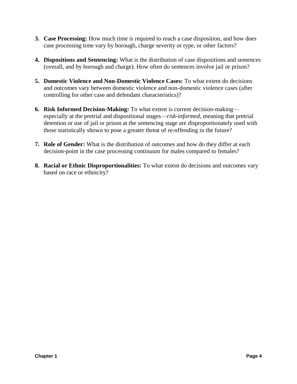- **3. Case Processing:** How much time is required to reach a case disposition, and how does case processing time vary by borough, charge severity or type, or other factors?
- **4. Dispositions and Sentencing:** What is the distribution of case dispositions and sentences (overall, and by borough and charge). How often do sentences involve jail or prison?
- **5. Domestic Violence and Non-Domestic Violence Cases:** To what extent do decisions and outcomes vary between domestic violence and non-domestic violence cases (after controlling for other case and defendant characteristics)?
- **6. Risk Informed Decision-Making:** To what extent is current decision-making especially at the pretrial and dispositional stages—*risk-informed*, meaning that pretrial detention or use of jail or prison at the sentencing stage are disproportionately used with those statistically shown to pose a greater threat of re-offending in the future?
- **7. Role of Gender:** What is the distribution of outcomes and how do they differ at each decision-point in the case processing continuum for males compared to females?
- **8. Racial or Ethnic Disproportionalities:** To what extent do decisions and outcomes vary based on race or ethnicity?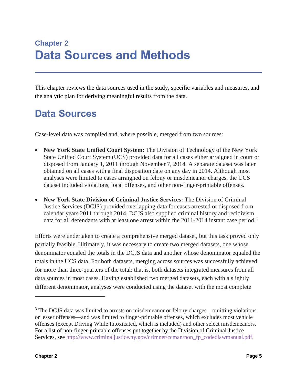This chapter reviews the data sources used in the study, specific variables and measures, and the analytic plan for deriving meaningful results from the data.

### **Data Sources**

Case-level data was compiled and, where possible, merged from two sources:

- **New York State Unified Court System:** The Division of Technology of the New York State Unified Court System (UCS) provided data for all cases either arraigned in court or disposed from January 1, 2011 through November 7, 2014. A separate dataset was later obtained on all cases with a final disposition date on any day in 2014. Although most analyses were limited to cases arraigned on felony or misdemeanor charges, the UCS dataset included violations, local offenses, and other non-finger-printable offenses.
- **New York State Division of Criminal Justice Services:** The Division of Criminal Justice Services (DCJS) provided overlapping data for cases arrested or disposed from calendar years 2011 through 2014. DCJS also supplied criminal history and recidivism data for all defendants with at least one arrest within the 2011-2014 instant case period.<sup>3</sup>

Efforts were undertaken to create a comprehensive merged dataset, but this task proved only partially feasible. Ultimately, it was necessary to create two merged datasets, one whose denominator equaled the totals in the DCJS data and another whose denominator equaled the totals in the UCS data. For both datasets, merging across sources was successfully achieved for more than three-quarters of the total: that is, both datasets integrated measures from all data sources in most cases. Having established two merged datasets, each with a slightly different denominator, analyses were conducted using the dataset with the most complete

<sup>&</sup>lt;sup>3</sup> The DCJS data was limited to arrests on misdemeanor or felony charges—omitting violations or lesser offenses—and was limited to finger-printable offenses, which excludes most vehicle offenses (except Driving While Intoxicated, which is included) and other select misdemeanors. For a list of non-finger-printable offenses put together by the Division of Criminal Justice Services, see [http://www.criminaljustice.ny.gov/crimnet/ccman/non\\_fp\\_codedlawmanual.pdf.](http://www.criminaljustice.ny.gov/crimnet/ccman/non_fp_codedlawmanual.pdf)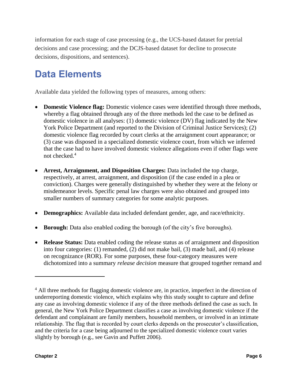information for each stage of case processing (e.g., the UCS-based dataset for pretrial decisions and case processing; and the DCJS-based dataset for decline to prosecute decisions, dispositions, and sentences).

### **Data Elements**

Available data yielded the following types of measures, among others:

- **Domestic Violence flag:** Domestic violence cases were identified through three methods, whereby a flag obtained through any of the three methods led the case to be defined as domestic violence in all analyses: (1) domestic violence (DV) flag indicated by the New York Police Department (and reported to the Division of Criminal Justice Services); (2) domestic violence flag recorded by court clerks at the arraignment court appearance; or (3) case was disposed in a specialized domestic violence court, from which we inferred that the case had to have involved domestic violence allegations even if other flags were not checked.<sup>4</sup>
- **Arrest, Arraignment, and Disposition Charges:** Data included the top charge, respectively, at arrest, arraignment, and disposition (if the case ended in a plea or conviction). Charges were generally distinguished by whether they were at the felony or misdemeanor levels. Specific penal law charges were also obtained and grouped into smaller numbers of summary categories for some analytic purposes.
- **Demographics:** Available data included defendant gender, age, and race/ethnicity.
- **Borough:** Data also enabled coding the borough (of the city's five boroughs).
- **Release Status:** Data enabled coding the release status as of arraignment and disposition into four categories: (1) remanded, (2) did not make bail, (3) made bail, and (4) release on recognizance (ROR). For some purposes, these four-category measures were dichotomized into a summary *release decision* measure that grouped together remand and

 $\overline{a}$ 

<sup>&</sup>lt;sup>4</sup> All three methods for flagging domestic violence are, in practice, imperfect in the direction of underreporting domestic violence, which explains why this study sought to capture and define any case as involving domestic violence if any of the three methods defined the case as such. In general, the New York Police Department classifies a case as involving domestic violence if the defendant and complainant are family members, household members, or involved in an intimate relationship. The flag that is recorded by court clerks depends on the prosecutor's classification, and the criteria for a case being adjourned to the specialized domestic violence court varies slightly by borough (e.g., see Gavin and Puffett 2006).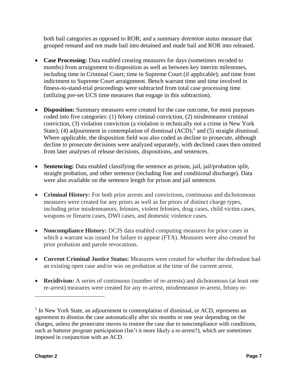both bail categories as opposed to ROR; and a summary *detention status* measure that grouped remand and not made bail into detained and made bail and ROR into released.

- **Case Processing:** Data enabled creating measures for days (sometimes recoded to months) from arraignment to disposition as well as between key interim milestones, including time in Criminal Court; time in Supreme Court (if applicable); and time from indictment to Supreme Court arraignment. Bench warrant time and time involved in fitness-to-stand-trial proceedings were subtracted from total case processing time (utilizing pre-set UCS time measures that engage in this subtraction).
- **Disposition:** Summary measures were created for the case outcome, for most purposes coded into five categories: (1) felony criminal conviction, (2) misdemeanor criminal conviction, (3) violation conviction (a violation is technically not a crime in New York State); (4) adjournment in contemplation of dismissal (ACD);<sup>5</sup> and (5) straight dismissal. Where applicable, the disposition field was also coded as decline to prosecute, although decline to prosecute decisions were analyzed separately, with declined cases then omitted from later analyses of release decisions, dispositions, and sentences.
- **Sentencing:** Data enabled classifying the sentence as prison, jail, jail/probation split, straight probation, and other sentence (including fine and conditional discharge). Data were also available on the sentence length for prison and jail sentences.
- **Criminal History:** For both prior arrests and convictions, continuous and dichotomous measures were created for any priors as well as for priors of distinct charge types, including prior misdemeanors, felonies, violent felonies, drug cases, child victim cases, weapons or firearm cases, DWI cases, and domestic violence cases.
- **Noncompliance History:** DCJS data enabled computing measures for prior cases in which a warrant was issued for failure to appear (FTA). Measures were also created for prior probation and parole revocations.
- **Current Criminal Justice Status:** Measures were created for whether the defendant had an existing open case and/or was on probation at the time of the current arrest.
- **Recidivism:** A series of continuous (number of re-arrests) and dichotomous (at least one re-arrest) measures were created for any re-arrest, misdemeanor re-arrest, felony re-

<sup>&</sup>lt;sup>5</sup> In New York State, an adjournment in contemplation of dismissal, or ACD, represents an agreement to dismiss the case automatically after six months or one year depending on the charges, unless the prosecutor moves to restore the case due to noncompliance with conditions, such as batterer program participation (Isn't it more likely a re-arrest?), which are sometimes imposed in conjunction with an ACD.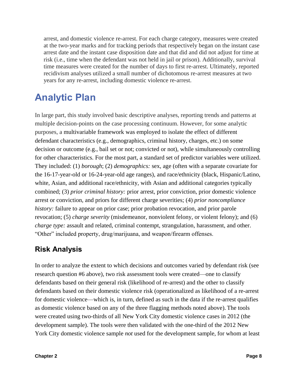arrest, and domestic violence re-arrest. For each charge category, measures were created at the two-year marks and for tracking periods that respectively began on the instant case arrest date and the instant case disposition date and that did and did not adjust for time at risk (i.e., time when the defendant was not held in jail or prison). Additionally, survival time measures were created for the number of days to first re-arrest. Ultimately, reported recidivism analyses utilized a small number of dichotomous re-arrest measures at two years for any re-arrest, including domestic violence re-arrest.

### **Analytic Plan**

In large part, this study involved basic descriptive analyses, reporting trends and patterns at multiple decision-points on the case processing continuum. However, for some analytic purposes, a multivariable framework was employed to isolate the effect of different defendant characteristics (e.g., demographics, criminal history, charges, etc.) on some decision or outcome (e.g., bail set or not; convicted or not), while simultaneously controlling for other characteristics. For the most part, a standard set of predictor variables were utilized. They included: (1) *borough*; (2) *demographics:* sex, age (often with a separate covariate for the 16-17-year-old or 16-24-year-old age ranges), and race/ethnicity (black, Hispanic/Latino, white, Asian, and additional race/ethnicity, with Asian and additional categories typically combined; (3) *prior criminal history:* prior arrest, prior conviction, prior domestic violence arrest or conviction, and priors for different charge severities; (4) *prior noncompliance history*: failure to appear on prior case; prior probation revocation, and prior parole revocation; (5) *charge severity* (misdemeanor, nonviolent felony, or violent felony); and (6) *charge type:* assault and related, criminal contempt, strangulation, harassment, and other. "Other" included property, drug/marijuana, and weapon/firearm offenses.

#### **Risk Analysis**

In order to analyze the extent to which decisions and outcomes varied by defendant risk (see research question #6 above), two risk assessment tools were created—one to classify defendants based on their general risk (likelihood of re-arrest) and the other to classify defendants based on their domestic violence risk (operationalized as likelihood of a re-arrest for domestic violence—which is, in turn, defined as such in the data if the re-arrest qualifies as domestic violence based on any of the three flagging methods noted above). The tools were created using two-thirds of all New York City domestic violence cases in 2012 (the development sample). The tools were then validated with the one-third of the 2012 New York City domestic violence sample *not* used for the development sample, for whom at least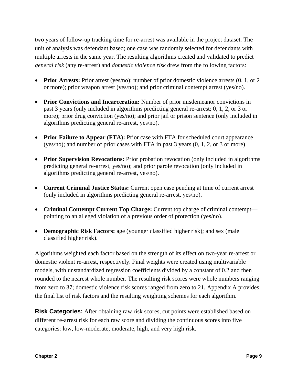two years of follow-up tracking time for re-arrest was available in the project dataset. The unit of analysis was defendant based; one case was randomly selected for defendants with multiple arrests in the same year. The resulting algorithms created and validated to predict *general risk* (any re-arrest) and *domestic violence risk* drew from the following factors:

- **Prior Arrests:** Prior arrest (yes/no); number of prior domestic violence arrests  $(0, 1, \text{ or } 2)$ or more); prior weapon arrest (yes/no); and prior criminal contempt arrest (yes/no).
- **Prior Convictions and Incarceration:** Number of prior misdemeanor convictions in past 3 years (only included in algorithms predicting general re-arrest; 0, 1, 2, or 3 or more); prior drug conviction (yes/no); and prior jail or prison sentence (only included in algorithms predicting general re-arrest, yes/no).
- **Prior Failure to Appear (FTA):** Prior case with FTA for scheduled court appearance (yes/no); and number of prior cases with FTA in past 3 years (0, 1, 2, or 3 or more)
- **Prior Supervision Revocations:** Prior probation revocation (only included in algorithms predicting general re-arrest, yes/no); and prior parole revocation (only included in algorithms predicting general re-arrest, yes/no).
- **Current Criminal Justice Status:** Current open case pending at time of current arrest (only included in algorithms predicting general re-arrest, yes/no).
- **Criminal Contempt Current Top Charge:** Current top charge of criminal contempt pointing to an alleged violation of a previous order of protection (yes/no).
- **Demographic Risk Factors:** age (younger classified higher risk); and sex (male classified higher risk).

Algorithms weighted each factor based on the strength of its effect on two-year re-arrest or domestic violent re-arrest, respectively. Final weights were created using multivariable models, with unstandardized regression coefficients divided by a constant of 0.2 and then rounded to the nearest whole number. The resulting risk scores were whole numbers ranging from zero to 37; domestic violence risk scores ranged from zero to 21. Appendix A provides the final list of risk factors and the resulting weighting schemes for each algorithm.

**Risk Categories:** After obtaining raw risk scores, cut points were established based on different re-arrest risk for each raw score and dividing the continuous scores into five categories: low, low-moderate, moderate, high, and very high risk.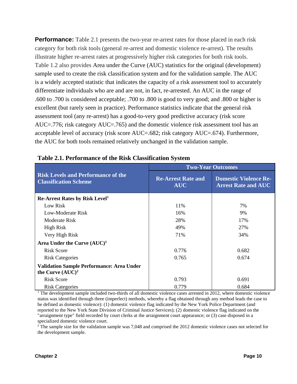**Performance:** Table 2.1 presents the two-year re-arrest rates for those placed in each risk category for both risk tools (general re-arrest and domestic violence re-arrest). The results illustrate higher re-arrest rates at progressively higher risk categories for both risk tools. Table 1.2 also provides Area under the Curve (AUC) statistics for the original (development) sample used to create the risk classification system and for the validation sample. The AUC is a widely accepted statistic that indicates the capacity of a risk assessment tool to accurately differentiate individuals who are and are not, in fact, re-arrested. An AUC in the range of .600 to .700 is considered acceptable; .700 to .800 is good to very good; and .800 or higher is excellent (but rarely seen in practice). Performance statistics indicate that the general risk assessment tool (any re-arrest) has a good-to-very good predictive accuracy (risk score AUC=.776; risk category AUC=.765) and the domestic violence risk assessment tool has an acceptable level of accuracy (risk score AUC=.682; risk category AUC=.674). Furthermore, the AUC for both tools remained relatively unchanged in the validation sample.

|                                                                           | <b>Two-Year Outcomes</b>                |                                                            |  |  |
|---------------------------------------------------------------------------|-----------------------------------------|------------------------------------------------------------|--|--|
| <b>Risk Levels and Performance of the</b><br><b>Classification Scheme</b> | <b>Re-Arrest Rate and</b><br><b>AUC</b> | <b>Domestic Violence Re-</b><br><b>Arrest Rate and AUC</b> |  |  |
| <b>Re-Arrest Rates by Risk Level</b> <sup>1</sup>                         |                                         |                                                            |  |  |
| Low Risk                                                                  | 11%                                     | 7%                                                         |  |  |
| Low-Moderate Risk                                                         | 16%                                     | 9%                                                         |  |  |
| Moderate Risk                                                             | 28%                                     | 17%                                                        |  |  |
| <b>High Risk</b>                                                          | 49%                                     | 27%                                                        |  |  |
| Very High Risk                                                            | 71%                                     | 34%                                                        |  |  |
| Area Under the Curve $(AUC)^1$                                            |                                         |                                                            |  |  |
| Risk Score                                                                | 0.776                                   | 0.682                                                      |  |  |
| <b>Risk Categories</b>                                                    | 0.765                                   | 0.674                                                      |  |  |
| <b>Validation Sample Performance: Area Under</b><br>the Curve $(AUC)^2$   |                                         |                                                            |  |  |
| <b>Risk Score</b>                                                         | 0.793                                   | 0.691                                                      |  |  |
| <b>Risk Categories</b>                                                    | 0.779                                   | 0.684                                                      |  |  |

#### **Table 2.1. Performance of the Risk Classification System**

<sup>1</sup> The development sample included two-thirds of all domestic violence cases arrested in 2012, where domestic violence status was identified through three (imperfect) methods, whereby a flag obtained through any method leads the case to be defined as domestic violence): (1) domestic violence flag indicated by the New York Police Department (and reported to the New York State Division of Criminal Justice Services); (2) domestic violence flag indicated on the "arraignment type" field recorded by court clerks at the arraignment court appearance; or (3) case disposed in a specialized domestic violence court.

<sup>2</sup> The sample size for the validation sample was 7,048 and comprised the 2012 domestic violence cases not selected for the development sample.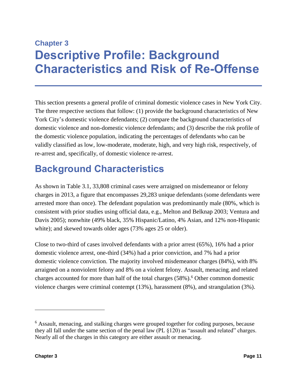### **Chapter 3 Descriptive Profile: Background Characteristics and Risk of Re-Offense**

This section presents a general profile of criminal domestic violence cases in New York City. The three respective sections that follow: (1) provide the background characteristics of New York City's domestic violence defendants; (2) compare the background characteristics of domestic violence and non-domestic violence defendants; and (3) describe the risk profile of the domestic violence population, indicating the percentages of defendants who can be validly classified as low, low-moderate, moderate, high, and very high risk, respectively, of re-arrest and, specifically, of domestic violence re-arrest.

### **Background Characteristics**

As shown in Table 3.1, 33,808 criminal cases were arraigned on misdemeanor or felony charges in 2013, a figure that encompasses 29,283 unique defendants (some defendants were arrested more than once). The defendant population was predominantly male (80%, which is consistent with prior studies using official data, e.g., Melton and Belknap 2003; Ventura and Davis 2005); nonwhite (49% black, 35% Hispanic/Latino, 4% Asian, and 12% non-Hispanic white); and skewed towards older ages (73% ages 25 or older).

Close to two-third of cases involved defendants with a prior arrest (65%), 16% had a prior domestic violence arrest, one-third (34%) had a prior conviction, and 7% had a prior domestic violence conviction. The majority involved misdemeanor charges (84%), with 8% arraigned on a nonviolent felony and 8% on a violent felony. Assault, menacing, and related charges accounted for more than half of the total charges (58%). <sup>6</sup> Other common domestic violence charges were criminal contempt (13%), harassment (8%), and strangulation (3%).

 $\overline{a}$ 

 $6$  Assault, menacing, and stalking charges were grouped together for coding purposes, because they all fall under the same section of the penal law (PL §120) as "assault and related" charges. Nearly all of the charges in this category are either assault or menacing.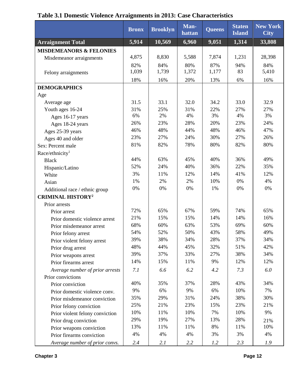|                                     | <b>Bronx</b> | <b>Brooklyn</b> | Man-<br>hattan | Queens | <b>Staten</b><br><b>Island</b> | <b>New York</b><br><b>City</b> |
|-------------------------------------|--------------|-----------------|----------------|--------|--------------------------------|--------------------------------|
| <b>Arraignment Total</b>            | 5,914        | 10,569          | 6,960          | 9,051  | 1,314                          | 33,808                         |
| <b>MISDEMEANORS &amp; FELONIES</b>  |              |                 |                |        |                                |                                |
| Misdemeanor arraignments            | 4,875        | 8,830           | 5,588          | 7,874  | 1,231                          | 28,398                         |
|                                     | 82%          | 84%             | 80%            | 87%    | 94%                            | 84%                            |
| Felony arraignments                 | 1,039        | 1,739           | 1,372          | 1,177  | 83                             | 5,410                          |
|                                     | 18%          | 16%             | 20%            | 13%    | 6%                             | 16%                            |
| <b>DEMOGRAPHICS</b>                 |              |                 |                |        |                                |                                |
| Age                                 |              |                 |                |        |                                |                                |
| Average age                         | 31.5         | 33.1            | 32.0           | 34.2   | 33.0                           | 32.9                           |
| Youth ages 16-24                    | 31%          | 25%             | 31%            | 22%    | 27%                            | 27%                            |
| Ages 16-17 years                    | 6%           | 2%              | 4%             | 3%     | 4%                             | 3%                             |
| Ages 18-24 years                    | 26%          | 23%             | 28%            | 20%    | 23%                            | 24%                            |
| Ages 25-39 years                    | 46%          | 48%             | 44%            | 48%    | 46%                            | 47%                            |
| Ages 40 and older                   | 23%          | 27%             | 24%            | 30%    | 27%                            | 26%                            |
| Sex: Percent male                   | 81%          | 82%             | 78%            | 80%    | 82%                            | 80%                            |
| Race/ethnicity <sup>1</sup>         |              |                 |                |        |                                |                                |
| <b>Black</b>                        | 44%          | 63%             | 45%            | 40%    | 36%                            | 49%                            |
| Hispanic/Latino                     | 52%          | 24%             | 40%            | 36%    | 22%                            | 35%                            |
| White                               | 3%           | 11%             | 12%            | 14%    | 41%                            | 12%                            |
| Asian                               | 1%           | 2%              | 2%             | 10%    | 0%                             | 4%                             |
| Additional race / ethnic group      | 0%           | 0%              | 0%             | 1%     | 0%                             | 0%                             |
| <b>CRIMINAL HISTORY<sup>2</sup></b> |              |                 |                |        |                                |                                |
| Prior arrests                       |              |                 |                |        |                                |                                |
| Prior arrest                        | 72%          | 65%             | 67%            | 59%    | 74%                            | 65%                            |
| Prior domestic violence arrest      | 21%          | 15%             | 15%            | 14%    | 14%                            | 16%                            |
| Prior misdemeanor arrest            | 68%          | 60%             | 63%            | 53%    | 69%                            | 60%                            |
| Prior felony arrest                 | 54%          | 52%             | 50%            | 43%    | 58%                            | 49%                            |
| Prior violent felony arrest         | 39%          | 38%             | 34%            | 28%    | 37%                            | 34%                            |
| Prior drug arrest                   | 48%          | 44%             | 45%            | 32%    | 51%                            | 42%                            |
| Prior weapons arrest                | 39%          | 37%             | 33%            | 27%    | 38%                            | 34%                            |
| Prior firearms arrest               | 14%          | 15%             | 11%            | 9%     | 12%                            | 12%                            |
| Average number of prior arrests     | 7.1          | 6.6             | 6.2            | 4.2    | 7.3                            | 6.0                            |
| Prior convictions                   |              |                 |                |        |                                |                                |
| Prior conviction                    | 40%          | 35%             | 37%            | 28%    | 43%                            | 34%                            |
| Prior domestic violence conv.       | 9%           | 6%              | 9%             | 6%     | 10%                            | 7%                             |
| Prior misdemeanor conviction        | 35%          | 29%             | 31%            | 24%    | 38%                            | 30%                            |
| Prior felony conviction             | 25%          | 21%             | 23%            | 15%    | 23%                            | 21%                            |
| Prior violent felony conviction     | 10%          | 11%             | 10%            | 7%     | 10%                            | 9%                             |
| Prior drug conviction               | 29%          | 19%             | 27%            | 13%    | 28%                            | 21%                            |
| Prior weapons conviction            | 13%          | 11%             | 11%            | 8%     | 11%                            | 10%                            |
| Prior firearms conviction           | 4%           | 4%              | 4%             | 3%     | 3%                             | 4%                             |
| Average number of prior convs.      | 2.4          | 2.1             | 2.2            | 1.2    | 2.3                            | 1.9                            |

#### **Table 3.1 Domestic Violence Arraignments in 2013: Case Characteristics**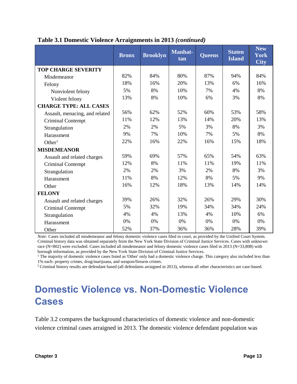|                                | <b>Bronx</b> | <b>Brooklyn</b> | <b>Manhat-</b><br>tan | <b>Queens</b> | <b>Staten</b><br><b>Island</b> | <b>New</b><br><b>York</b><br><b>City</b> |
|--------------------------------|--------------|-----------------|-----------------------|---------------|--------------------------------|------------------------------------------|
| <b>TOP CHARGE SEVERITY</b>     |              |                 |                       |               |                                |                                          |
| Misdemeanor                    | 82%          | 84%             | 80%                   | 87%           | 94%                            | 84%                                      |
| Felony                         | 18%          | 16%             | 20%                   | 13%           | 6%                             | 16%                                      |
| Nonviolent felony              | 5%           | 8%              | 10%                   | 7%            | 4%                             | 8%                                       |
| Violent felony                 | 13%          | 8%              | 10%                   | 6%            | 3%                             | 8%                                       |
| <b>CHARGE TYPE: ALL CASES</b>  |              |                 |                       |               |                                |                                          |
| Assault, menacing, and related | 56%          | 62%             | 52%                   | 60%           | 53%                            | 58%                                      |
| Criminal Contempt              | 11%          | 12%             | 13%                   | 14%           | 20%                            | 13%                                      |
| Strangulation                  | 2%           | 2%              | 5%                    | 3%            | 8%                             | 3%                                       |
| Harassment                     | 9%           | 7%              | 10%                   | 7%            | 5%                             | 8%                                       |
| Other <sup>1</sup>             | 22%          | 16%             | 22%                   | 16%           | 15%                            | 18%                                      |
| <b>MISDEMEANOR</b>             |              |                 |                       |               |                                |                                          |
| Assault and related charges    | 59%          | 69%             | 57%                   | 65%           | 54%                            | 63%                                      |
| <b>Criminal Contempt</b>       | 12%          | 8%              | 11%                   | 11%           | 19%                            | 11%                                      |
| Strangulation                  | 2%           | 2%              | 3%                    | 2%            | 8%                             | 3%                                       |
| Harassment                     | 11%          | 8%              | 12%                   | 8%            | 5%                             | 9%                                       |
| Other                          | 16%          | 12%             | 18%                   | 13%           | 14%                            | 14%                                      |
| <b>FELONY</b>                  |              |                 |                       |               |                                |                                          |
| Assault and related charges    | 39%          | 26%             | 32%                   | 26%           | 29%                            | 30%                                      |
| <b>Criminal Contempt</b>       | 5%           | 32%             | 19%                   | 34%           | 34%                            | 24%                                      |
| Strangulation                  | 4%           | 4%              | 13%                   | 4%            | 10%                            | 6%                                       |
| Harassment                     | 0%           | 0%              | 0%                    | 0%            | 0%                             | $0\%$                                    |
| Other                          | 52%          | 37%             | 36%                   | 36%           | 28%                            | 39%                                      |

#### **Table 3.1 Domestic Violence Arraignments in 2013** *(continued)*

*Note:* Cases included all misdemeanor and felony domestic violence cases filed in court, as provided by the Unified Court System. Criminal history data was obtained separately from the New York State Division of Criminal Justice Services. Cases with unknown race (N=802) were excluded. Cases included all misdemeanor and felony domestic violence cases filed in 2013 (N=33,808) with borough information, as provided by the New York State Division of Criminal Justice Services.

<sup>1</sup> The majority of domestic violence cases listed as 'Other' only had a domestic violence charge. This category also included less than 1% each: property crimes, drug/marijuana, and weapon/firearm crimes.

<sup>2</sup>Criminal history results are defendant based (all defendants arraigned in 2013), whereas all other characteristics are case-based.

### **Domestic Violence vs. Non-Domestic Violence Cases**

Table 3.2 compares the background characteristics of domestic violence and non-domestic violence criminal cases arraigned in 2013. The domestic violence defendant population was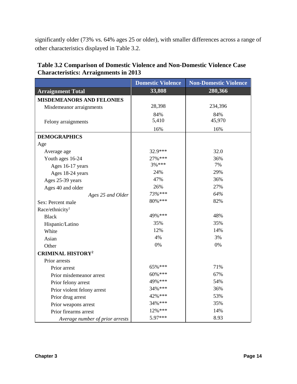significantly older (73% vs. 64% ages 25 or older), with smaller differences across a range of other characteristics displayed in Table 3.2.

|                                     | <b>Domestic Violence</b> | <b>Non-Domestic Violence</b> |
|-------------------------------------|--------------------------|------------------------------|
| <b>Arraignment Total</b>            | 33,808                   | 280,366                      |
| <b>MISDEMEANORS AND FELONIES</b>    |                          |                              |
| Misdemeanor arraignments            | 28,398                   | 234,396                      |
|                                     | 84%                      | 84%                          |
| Felony arraignments                 | 5,410                    | 45,970                       |
|                                     | 16%                      | 16%                          |
| <b>DEMOGRAPHICS</b>                 |                          |                              |
| Age                                 |                          |                              |
| Average age                         | 32.9***                  | 32.0                         |
| Youth ages 16-24                    | 27% ***                  | 36%                          |
| Ages 16-17 years                    | $3\%$ ***                | 7%                           |
| Ages 18-24 years                    | 24%                      | 29%                          |
| Ages 25-39 years                    | 47%                      | 36%                          |
| Ages 40 and older                   | 26%                      | 27%                          |
| Ages 25 and Older                   | 73%***                   | 64%                          |
| Sex: Percent male                   | 80%***                   | 82%                          |
| Race/ethnicity <sup>1</sup>         |                          |                              |
| <b>Black</b>                        | 49%***                   | 48%                          |
| Hispanic/Latino                     | 35%                      | 35%                          |
| White                               | 12%                      | 14%                          |
| Asian                               | 4%                       | 3%                           |
| Other                               | 0%                       | 0%                           |
| <b>CRIMINAL HISTORY<sup>2</sup></b> |                          |                              |
| Prior arrests                       |                          |                              |
| Prior arrest                        | 65%***                   | 71%                          |
| Prior misdemeanor arrest            | 60%***                   | 67%                          |
| Prior felony arrest                 | 49% ***                  | 54%                          |
| Prior violent felony arrest         | 34%***                   | 36%                          |
| Prior drug arrest                   | 42% ***                  | 53%                          |
| Prior weapons arrest                | 34% ***                  | 35%                          |
| Prior firearms arrest               | 12%***                   | 14%                          |
| Average number of prior arrests     | 5.97***                  | 8.93                         |

#### **Table 3.2 Comparison of Domestic Violence and Non-Domestic Violence Case Characteristics: Arraignments in 2013**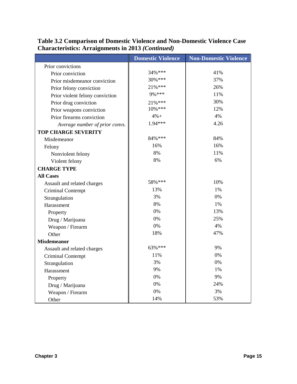|                                 | <b>Domestic Violence</b> | <b>Non-Domestic Violence</b> |
|---------------------------------|--------------------------|------------------------------|
| Prior convictions               |                          |                              |
| Prior conviction                | 34% ***                  | 41%                          |
| Prior misdemeanor conviction    | 30%***                   | 37%                          |
| Prior felony conviction         | 21%***                   | 26%                          |
| Prior violent felony conviction | 9%***                    | 11%                          |
| Prior drug conviction           | 21%***                   | 30%                          |
| Prior weapons conviction        | 10%***                   | 12%                          |
| Prior firearms conviction       | $4%+$                    | 4%                           |
| Average number of prior convs.  | 1.94***                  | 4.26                         |
| <b>TOP CHARGE SEVERITY</b>      |                          |                              |
| Misdemeanor                     | 84%***                   | 84%                          |
| Felony                          | 16%                      | 16%                          |
| Nonviolent felony               | 8%                       | 11%                          |
| Violent felony                  | 8%                       | 6%                           |
| <b>CHARGE TYPE</b>              |                          |                              |
| <b>All Cases</b>                |                          |                              |
| Assault and related charges     | 58%***                   | 10%                          |
| Criminal Contempt               | 13%                      | 1%                           |
| Strangulation                   | 3%                       | 0%                           |
| Harassment                      | 8%                       | 1%                           |
| Property                        | 0%                       | 13%                          |
| Drug / Marijuana                | 0%                       | 25%                          |
| Weapon / Firearm                | 0%                       | 4%                           |
| Other                           | 18%                      | 47%                          |
| <b>Misdemeanor</b>              |                          |                              |
| Assault and related charges     | 63%***                   | 9%                           |
| <b>Criminal Contempt</b>        | 11%                      | 0%                           |
| Strangulation                   | 3%                       | 0%                           |
| Harassment                      | 9%                       | 1%                           |
| Property                        | 0%                       | 9%                           |
| Drug / Marijuana                | 0%                       | 24%                          |
| Weapon / Firearm                | 0%                       | 3%                           |
| Other                           | 14%                      | 53%                          |

#### **Table 3.2 Comparison of Domestic Violence and Non-Domestic Violence Case Characteristics: Arraignments in 2013** *(Continued)*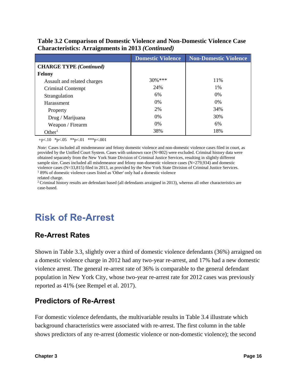#### **Table 3.2 Comparison of Domestic Violence and Non-Domestic Violence Case Characteristics: Arraignments in 2013** *(Continued)*

|                                | <b>Domestic Violence</b> | <b>Non-Domestic Violence</b> |
|--------------------------------|--------------------------|------------------------------|
| <b>CHARGE TYPE</b> (Continued) |                          |                              |
| Felony                         |                          |                              |
| Assault and related charges    | $30\%$ ***               | 11%                          |
| Criminal Contempt              | 24%                      | $1\%$                        |
| Strangulation                  | 6%                       | 0%                           |
| Harassment                     | 0%                       | 0%                           |
| Property                       | 2%                       | 34%                          |
| Drug / Marijuana               | $0\%$                    | 30%                          |
| Weapon / Firearm               | $0\%$                    | 6%                           |
| Other <sup>1</sup>             | 38%                      | 18%                          |

 $+p<.10$  \*p $<.05$  \*\*p $<.01$  \*\*\*p $<.001$ 

*Note:* Cases included all misdemeanor and felony domestic violence and non-domestic violence cases filed in court, as provided by the Unified Court System. Cases with unknown race (N=802) were excluded. Criminal history data were obtained separately from the New York State Division of Criminal Justice Services, resulting in slightly different sample size. Cases included all misdemeanor and felony non-domestic violence cases (N=279,934) and domestic violence cases (N=33,815) filed in 2013, as provided by the New York State Division of Criminal Justice Services. <sup>1</sup> 89% of domestic violence cases listed as 'Other' only had a domestic violence

related charge.

<sup>2</sup>Criminal history results are defendant based (all defendants arraigned in 2013), whereas all other characteristics are case-based.

### **Risk of Re-Arrest**

#### **Re-Arrest Rates**

Shown in Table 3.3, slightly over a third of domestic violence defendants (36%) arraigned on a domestic violence charge in 2012 had any two-year re-arrest, and 17% had a new domestic violence arrest. The general re-arrest rate of 36% is comparable to the general defendant population in New York City, whose two-year re-arrest rate for 2012 cases was previously reported as 41% (see Rempel et al. 2017).

#### **Predictors of Re-Arrest**

For domestic violence defendants, the multivariable results in Table 3.4 illustrate which background characteristics were associated with re-arrest. The first column in the table shows predictors of any re-arrest (domestic violence or non-domestic violence); the second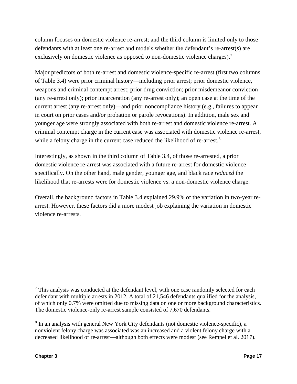column focuses on domestic violence re-arrest; and the third column is limited only to those defendants with at least one re-arrest and models whether the defendant's re-arrest(s) are exclusively on domestic violence as opposed to non-domestic violence charges).<sup>7</sup>

Major predictors of both re-arrest and domestic violence-specific re-arrest (first two columns of Table 3.4) were prior criminal history—including prior arrest; prior domestic violence, weapons and criminal contempt arrest; prior drug conviction; prior misdemeanor conviction (any re-arrest only); prior incarceration (any re-arrest only); an open case at the time of the current arrest (any re-arrest only)—and prior noncompliance history (e.g., failures to appear in court on prior cases and/or probation or parole revocations). In addition, male sex and younger age were strongly associated with both re-arrest and domestic violence re-arrest. A criminal contempt charge in the current case was associated with domestic violence re-arrest, while a felony charge in the current case reduced the likelihood of re-arrest.<sup>8</sup>

Interestingly, as shown in the third column of Table 3.4, of those re-arrested, a prior domestic violence re-arrest was associated with a future re-arrest for domestic violence specifically. On the other hand, male gender, younger age, and black race *reduced* the likelihood that re-arrests were for domestic violence vs. a non-domestic violence charge.

Overall, the background factors in Table 3.4 explained 29.9% of the variation in two-year rearrest. However, these factors did a more modest job explaining the variation in domestic violence re-arrests.

 $<sup>7</sup>$  This analysis was conducted at the defendant level, with one case randomly selected for each</sup> defendant with multiple arrests in 2012. A total of 21,546 defendants qualified for the analysis, of which only 0.7% were omitted due to missing data on one or more background characteristics. The domestic violence-only re-arrest sample consisted of 7,670 defendants.

<sup>&</sup>lt;sup>8</sup> In an analysis with general New York City defendants (not domestic violence-specific), a nonviolent felony charge was associated was an increased and a violent felony charge with a decreased likelihood of re-arrest—although both effects were modest (see Rempel et al. 2017).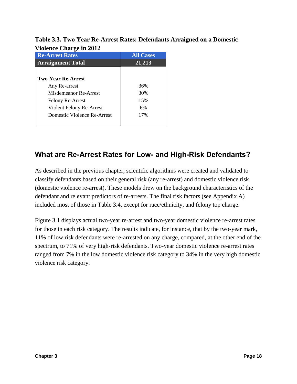#### **Table 3.3. Two Year Re-Arrest Rates: Defendants Arraigned on a Domestic Violence Charge in 2012**

| $\frac{1010 \text{m}}{20100 \text{m}}$ |                  |
|----------------------------------------|------------------|
| <b>Re-Arrest Rates</b>                 | <b>All Cases</b> |
| <b>Arraignment Total</b>               | 21,213           |
|                                        |                  |
| <b>Two-Year Re-Arrest</b>              |                  |
| Any Re-arrest                          | 36%              |
| Misdemeanor Re-Arrest                  | 30%              |
| <b>Felony Re-Arrest</b>                | 15%              |
| Violent Felony Re-Arrest               | 6%               |
| Domestic Violence Re-Arrest            | 17%              |
|                                        |                  |

#### **What are Re-Arrest Rates for Low- and High-Risk Defendants?**

As described in the previous chapter, scientific algorithms were created and validated to classify defendants based on their general risk (any re-arrest) and domestic violence risk (domestic violence re-arrest). These models drew on the background characteristics of the defendant and relevant predictors of re-arrests. The final risk factors (see Appendix A) included most of those in Table 3.4, except for race/ethnicity, and felony top charge.

Figure 3.1 displays actual two-year re-arrest and two-year domestic violence re-arrest rates for those in each risk category. The results indicate, for instance, that by the two-year mark, 11% of low risk defendants were re-arrested on any charge, compared, at the other end of the spectrum, to 71% of very high-risk defendants. Two-year domestic violence re-arrest rates ranged from 7% in the low domestic violence risk category to 34% in the very high domestic violence risk category.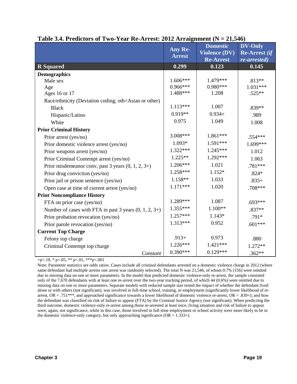| $\ldots$                                                 | $\cdots$<br>Any Re- | – <b>21,0</b> IV)<br><b>Domestic</b> | <b>DV-Only</b>       |
|----------------------------------------------------------|---------------------|--------------------------------------|----------------------|
|                                                          | <b>Arrest</b>       | <b>Violence (DV)</b>                 | <b>Re-Arrest</b> (if |
|                                                          |                     | <b>Re-Arrest</b>                     | re-arrested)         |
| <b>R</b> Squared                                         | 0.299               | 0.123                                | 0.145                |
| <b>Demographics</b>                                      |                     |                                      |                      |
| Male sex                                                 | $1.606***$          | 1.479***                             | $.813**$             |
| Age                                                      | $0.966***$          | $0.980***$                           | $1.031***$           |
| Ages 16 or 17                                            | 1.488***            | 1.208                                | $.525**$             |
| Race/ethnicity (Deviation coding; oth=Asian or other)    |                     |                                      |                      |
| <b>Black</b>                                             | $1.113***$          | 1.007                                | .839**               |
| Hispanic/Latino                                          | $0.919**$           | $0.934+$                             | .989                 |
| White                                                    | 0.975               | 1.049                                | 1.008                |
| <b>Prior Criminal History</b>                            |                     |                                      |                      |
| Prior arrest (yes/no)                                    | 3.008***            | 1.861***                             | .554***              |
| Prior domestic violence arrest (yes/no)                  | 1.093*              | 1.591***                             | 1.699***             |
| Prior weapons arrest (yes/no)                            | $1.322***$          | $1.245***$                           | 1.012                |
| Prior Criminal Contempt arrest (yes/no)                  | $1.225**$           | 1.292***                             | 1.063                |
| Prior misdemeanor conv, past 3 years $(0, 1, 2, 3+)$     | $1.206***$          | 1.021                                | .781***              |
| Prior drug conviction (yes/no)                           | 1.258***            | 1.152*                               | $.824*$              |
| Prior jail or prison sentence (yes/no)                   | 1.158**             | 1.033                                | $.835+$              |
| Open case at time of current arrest (yes/no)             | $1.171***$          | 1.020                                | .708***              |
| <b>Prior Noncompliance History</b>                       |                     |                                      |                      |
| FTA on prior case (yes/no)                               | 1.289***            | 1.087                                | $.693***$            |
| Number of cases with FTA in past 3 years $(0, 1, 2, 3+)$ | $1.355***$          | $1.100**$                            | .837**               |
| Prior probation revocation (yes/no)                      | $1.257***$          | $1.143*$                             | $.791*$              |
| Prior parole revocation (yes/no)                         | 1.313***            | 0.952                                | $.601***$            |
| <b>Current Top Charge</b>                                |                     |                                      |                      |
| Felony top charge                                        | $.913+$             | 0.973                                | .880                 |
| Criminal Contempt top charge                             | 1.226***            | $1.421***$                           | 1.272**              |
| Constant                                                 | $0.390***$          | $0.129***$                           | $.362**$             |

#### **Table 3.4. Predictors of Two-Year Re-Arrest: 2012 Arraignment (N = 21,546)**

+p<.10,  $*$  p<.05,  $**$  p<.01,  $**$ p<.001

Note: Parameter statistics are odds ratios. Cases include all criminal defendants arrested on a domestic violence charge in 2012 (where same defendant had multiple arrests one arrest was randomly selected). The total N was 21,546, of whom 0.7% (156) were omitted due to missing data on one or more parameters. In the model that predicted domestic violence-only re-arrest, the sample consisted only of the 7,670 defendants with at least one re-arrest over the two-year tracking period, of which 44 (0.6%) were omitted due to missing data on one or more parameters. Separate models with reduced sample size tested the impact of whether the defendant lived alone or with others (not significant), was involved in full-time school, training, or employment (significantly lower likelihood of rearrest,  $OR = .751***$ , and approached significance towards a lower likelihood of domestic violence re-arrest,  $OR = .839+$ ); and how the defendant was classified on risk of failure to appear (FTA) by the Criminal Justice Agency (not significant). When predicting the third outcome, domestic violence-only re-arrest among those re-arrested at least once, living situation and risk of failure to appear were, again, not significance, while in this case, those involved in full-time employment or school activity were more likely to be in the domestic violence-only category, but only approaching significance  $(OR = 1.333+)$ .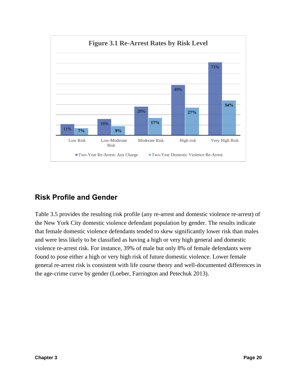

#### **Risk Profile and Gender**

Table 3.5 provides the resulting risk profile (any re-arrest and domestic violence re-arrest) of the New York City domestic violence defendant population by gender. The results indicate that female domestic violence defendants tended to skew significantly lower risk than males and were less likely to be classified as having a high or very high general and domestic violence re-arrest risk. For instance, 39% of male but only 8% of female defendants were found to pose either a high or very high risk of future domestic violence. Lower female general re-arrest risk is consistent with life course theory and well-documented differences in the age-crime curve by gender (Loeber, Farrington and Petechuk 2013).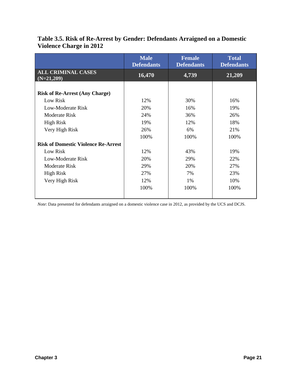|                                            | <b>Male</b><br><b>Defendants</b> | <b>Female</b><br><b>Defendants</b> | <b>Total</b><br><b>Defendants</b> |
|--------------------------------------------|----------------------------------|------------------------------------|-----------------------------------|
| <b>ALL CRIMINAL CASES</b><br>$(N=21,209)$  | 16,470                           | 4,739                              | 21,209                            |
|                                            |                                  |                                    |                                   |
| <b>Risk of Re-Arrest (Any Charge)</b>      |                                  |                                    |                                   |
| Low Risk                                   | 12%                              | 30%                                | 16%                               |
| Low-Moderate Risk                          | 20%                              | 16%                                | 19%                               |
| Moderate Risk                              | 24%                              | 36%                                | 26%                               |
| <b>High Risk</b>                           | 19%                              | 12%                                | 18%                               |
| Very High Risk                             | 26%                              | 6%                                 | 21%                               |
|                                            | 100%                             | 100%                               | 100%                              |
| <b>Risk of Domestic Violence Re-Arrest</b> |                                  |                                    |                                   |
| Low Risk                                   | 12%                              | 43%                                | 19%                               |
| Low-Moderate Risk                          | 20%                              | 29%                                | 22%                               |
| Moderate Risk                              | 29%                              | 20%                                | 27%                               |
| <b>High Risk</b>                           | 27%                              | 7%                                 | 23%                               |
| Very High Risk                             | 12%                              | 1%                                 | 10%                               |
|                                            | 100%                             | 100%                               | 100%                              |
|                                            |                                  |                                    |                                   |

#### **Table 3.5. Risk of Re-Arrest by Gender: Defendants Arraigned on a Domestic Violence Charge in 2012**

*Note*: Data presented for defendants arraigned on a domestic violence case in 2012, as provided by the UCS and DCJS.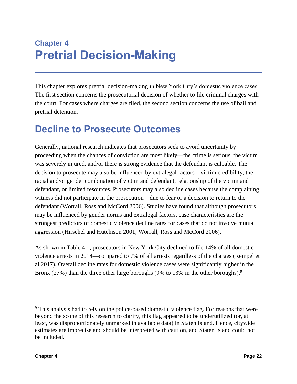### **Chapter 4 Pretrial Decision-Making**

This chapter explores pretrial decision-making in New York City's domestic violence cases. The first section concerns the prosecutorial decision of whether to file criminal charges with the court. For cases where charges are filed, the second section concerns the use of bail and pretrial detention.

### **Decline to Prosecute Outcomes**

Generally, national research indicates that prosecutors seek to avoid uncertainty by proceeding when the chances of conviction are most likely—the crime is serious, the victim was severely injured, and/or there is strong evidence that the defendant is culpable. The decision to prosecute may also be influenced by extralegal factors—victim credibility, the racial and/or gender combination of victim and defendant, relationship of the victim and defendant, or limited resources. Prosecutors may also decline cases because the complaining witness did not participate in the prosecution—due to fear or a decision to return to the defendant (Worrall, Ross and McCord 2006). Studies have found that although prosecutors may be influenced by gender norms and extralegal factors, case characteristics are the strongest predictors of domestic violence decline rates for cases that do not involve mutual aggression (Hirschel and Hutchison 2001; Worrall, Ross and McCord 2006).

As shown in Table 4.1, prosecutors in New York City declined to file 14% of all domestic violence arrests in 2014—compared to 7% of all arrests regardless of the charges (Rempel et al 2017). Overall decline rates for domestic violence cases were significantly higher in the Bronx (27%) than the three other large boroughs (9% to 13% in the other boroughs).<sup>9</sup>

<sup>&</sup>lt;sup>9</sup> This analysis had to rely on the police-based domestic violence flag. For reasons that were beyond the scope of this research to clarify, this flag appeared to be underutilized (or, at least, was disproportionately unmarked in available data) in Staten Island. Hence, citywide estimates are imprecise and should be interpreted with caution, and Staten Island could not be included.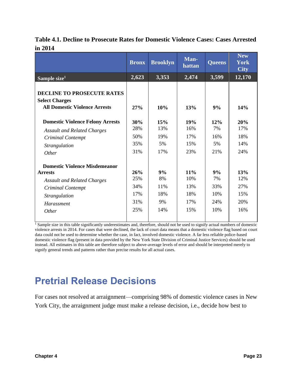|                                                                                                    | <b>Bronx</b> | <b>Brooklyn</b> | Man-<br>hattan | <b>Queens</b> | <b>New</b><br><b>York</b><br><b>City</b> |
|----------------------------------------------------------------------------------------------------|--------------|-----------------|----------------|---------------|------------------------------------------|
| Sample size <sup>1</sup>                                                                           | 2,623        | 3,353           | 2,474          | 3,599         | 12,170                                   |
| <b>DECLINE TO PROSECUTE RATES</b><br><b>Select Charges</b><br><b>All Domestic Violence Arrests</b> | 27%          | 10%             | 13%            | 9%            | 14%                                      |
| <b>Domestic Violence Felony Arrests</b>                                                            | 30%          | 15%             | 19%            | 12%           | 20%                                      |
| <b>Assault and Related Charges</b>                                                                 | 28%          | 13%             | 16%            | 7%            | 17%                                      |
| <b>Criminal Contempt</b>                                                                           | 50%          | 19%             | 17%            | 16%           | 18%                                      |
| <b>Strangulation</b>                                                                               | 35%          | 5%              | 15%            | 5%            | 14%                                      |
| Other                                                                                              | 31%          | 17%             | 23%            | 21%           | 24%                                      |
| <b>Domestic Violence Misdemeanor</b>                                                               |              |                 |                |               |                                          |
| <b>Arrests</b>                                                                                     | 26%          | 9%              | 11%            | 9%            | 13%                                      |
| <b>Assault and Related Charges</b>                                                                 | 25%          | 8%              | 10%            | 7%            | 12%                                      |
| <b>Criminal Contempt</b>                                                                           | 34%          | 11%             | 13%            | 33%           | 27%                                      |
| <b>Strangulation</b>                                                                               | 17%          | 18%             | 18%            | 10%           | 15%                                      |
| Harassment                                                                                         | 31%          | 9%              | 17%            | 24%           | 20%                                      |
| <i>Other</i>                                                                                       | 25%          | 14%             | 15%            | 10%           | 16%                                      |

#### **Table 4.1. Decline to Prosecute Rates for Domestic Violence Cases: Cases Arrested in 2014**

<sup>1</sup> Sample size in this table significantly underestimates and, therefore, should not be used to signify actual numbers of domestic violence arrests in 2014. For cases that were declined, the lack of court data means that a domestic violence flag based on court data could not be used to determine whether the case, in fact, involved domestic violence. A far less reliable police-based domestic violence flag (present in data provided by the New York State Division of Criminal Justice Services) should be used instead. All estimates in this table are therefore subject to above-average levels of error and should be interpreted merely to signify general trends and patterns rather than precise results for all actual cases.

### **Pretrial Release Decisions**

For cases not resolved at arraignment—comprising 98% of domestic violence cases in New York City, the arraignment judge must make a release decision, i.e., decide how best to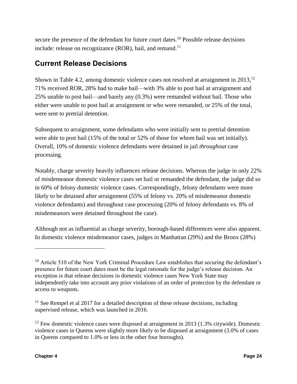secure the presence of the defendant for future court dates.<sup>10</sup> Possible release decisions include: release on recognizance (ROR), bail, and remand.<sup>11</sup>

#### **Current Release Decisions**

Shown in Table 4.2, among domestic violence cases not resolved at arraignment in  $2013$ ,<sup>12</sup> 71% received ROR, 28% had to make bail—with 3% able to post bail at arraignment and 25% unable to post bail—and barely any (0.3%) were remanded without bail. Those who either were unable to post bail at arraignment or who were remanded, or 25% of the total, were sent to pretrial detention.

Subsequent to arraignment, some defendants who were initially sent to pretrial detention were able to post bail (15% of the total or 52% of those for whom bail was set initially). Overall, 10% of domestic violence defendants were detained in jail *throughout* case processing.

Notably, charge severity heavily influences release decisions. Whereas the judge in only 22% of misdemeanor domestic violence cases set bail or remanded the defendant, the judge did so in 60% of felony domestic violence cases. Correspondingly, felony defendants were more likely to be detained after arraignment (55% of felony vs. 20% of misdemeanor domestic violence defendants) and throughout case processing (20% of felony defendants vs. 8% of misdemeanors were detained throughout the case).

Although not as influential as charge severity, borough-based differences were also apparent. In domestic violence misdemeanor cases, judges in Manhattan (29%) and the Bronx (28%)

 $10$  Article 510 of the New York Criminal Procedure Law establishes that securing the defendant's presence for future court dates must be the legal rationale for the judge's release decision. An exception is that release decisions in domestic violence cases New York State may independently take into account any prior violations of an order of protection by the defendant or access to weapons.

 $11$  See Rempel et al 2017 for a detailed description of these release decisions, including supervised release, which was launched in 2016.

 $12$  Few domestic violence cases were disposed at arraignment in 2013 (1.3% citywide). Domestic violence cases in Queens were slightly more likely to be disposed at arraignment (3.0% of cases in Queens compared to 1.0% or less in the other four boroughs).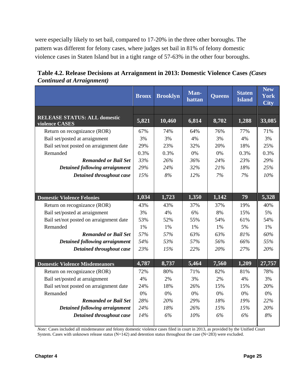were especially likely to set bail, compared to 17-20% in the three other boroughs. The pattern was different for felony cases, where judges set bail in 81% of felony domestic violence cases in Staten Island but in a tight range of 57-63% in the other four boroughs.

|                                                       | <b>Bronx</b> | <b>Brooklyn</b> | Man-<br>hattan | <b>Queens</b> | <b>Staten</b><br><b>Island</b> | <b>New</b><br><b>York</b><br><b>City</b> |
|-------------------------------------------------------|--------------|-----------------|----------------|---------------|--------------------------------|------------------------------------------|
|                                                       |              |                 |                |               |                                |                                          |
| <b>RELEASE STATUS: ALL domestic</b><br>violence CASES | 5,821        | 10,460          | 6,814          | 8,702         | 1,288                          | 33,085                                   |
| Return on recognizance (ROR)                          | 67%          | 74%             | 64%            | 76%           | 77%                            | 71%                                      |
| Bail set/posted at arraignment                        | 3%           | 3%              | 4%             | 3%            | 4%                             | 3%                                       |
| Bail set/not posted on arraignment date               | 29%          | 23%             | 32%            | 20%           | 18%                            | 25%                                      |
| Remanded                                              | 0.3%         | 0.3%            | 0%             | 0%            | 0.3%                           | 0.3%                                     |
| <b>Remanded or Bail Set</b>                           | 33%          | 26%             | 36%            | 24%           | 23%                            | 29%                                      |
| <b>Detained following arraignment</b>                 | 29%          | 24%             | 32%            | 21%           | 18%                            | 25%                                      |
| Detained throughout case                              | 15%          | 8%              | 12%            | 7%            | 7%                             | 10%                                      |
|                                                       |              |                 |                |               |                                |                                          |
| <b>Domestic Violence Felonies</b>                     | 1,034        | 1,723           | 1,350          | 1,142         | 79                             | 5,328                                    |
| Return on recognizance (ROR)                          | 43%          | 43%             | 37%            | 37%           | 19%                            | 40%                                      |
| Bail set/posted at arraignment                        | 3%           | 4%              | 6%             | 8%            | 15%                            | 5%                                       |
| Bail set/not posted on arraignment date               | 53%          | 52%             | 55%            | 54%           | 61%                            | 54%                                      |
| Remanded                                              | 1%           | 1%              | 1%             | 1%            | 5%                             | 1%                                       |
| <b>Remanded or Bail Set</b>                           | 57%          | 57%             | 63%            | 63%           | 81%                            | 60%                                      |
| Detained following arraignment                        | 54%          | 53%             | 57%            | 56%           | 66%                            | 55%                                      |
| Detained throughout case                              | 23%          | 15%             | 22%            | 20%           | 27%                            | 20%                                      |
|                                                       |              |                 |                |               |                                |                                          |
| <b>Domestic Violence Misdemeanors</b>                 | 4,787        | 8,737           | 5,464          | 7,560         | 1,209                          | 27,757                                   |
| Return on recognizance (ROR)                          | 72%          | 80%             | 71%            | 82%           | 81%                            | 78%                                      |
| Bail set/posted at arraignment                        | 4%           | 2%              | 3%             | 2%            | 4%                             | 3%                                       |
| Bail set/not posted on arraignment date               | 24%          | 18%             | 26%            | 15%           | 15%                            | 20%                                      |
| Remanded                                              | 0%           | 0%              | 0%             | 0%            | 0%                             | 0%                                       |
| <b>Remanded or Bail Set</b>                           | 28%          | 20%             | 29%            | 18%           | 19%                            | 22%                                      |
| Detained following arraignment                        | 24%          | 18%             | 26%            | 15%           | 15%                            | 20%                                      |
| Detained throughout case                              | 14%          | 6%              | 10%            | 6%            | 6%                             | 8%                                       |

| Table 4.2. Release Decisions at Arraignment in 2013: Domestic Violence Cases (Cases |  |
|-------------------------------------------------------------------------------------|--|
| <b>Continued at Arraignment</b> )                                                   |  |

*Note:* Cases included all misdemeanor and felony domestic violence cases filed in court in 2013, as provided by the Unified Court System. Cases with unknown release status ( $N=142$ ) and detention status throughout the case ( $N=283$ ) were excluded.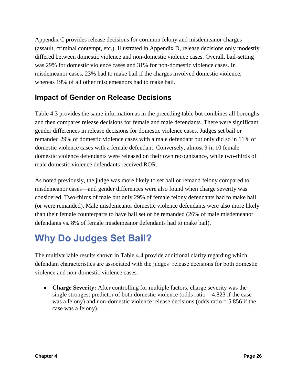Appendix C provides release decisions for common felony and misdemeanor charges (assault, criminal contempt, etc.). Illustrated in Appendix D, release decisions only modestly differed between domestic violence and non-domestic violence cases. Overall, bail-setting was 29% for domestic violence cases and 31% for non-domestic violence cases. In misdemeanor cases, 23% had to make bail if the charges involved domestic violence, whereas 19% of all other misdemeanors had to make bail.

#### **Impact of Gender on Release Decisions**

Table 4.3 provides the same information as in the preceding table but combines all boroughs and then compares release decisions for female and male defendants. There were significant gender differences in release decisions for domestic violence cases. Judges set bail or remanded 29% of domestic violence cases with a male defendant but only did so in 11% of domestic violence cases with a female defendant. Conversely, almost 9 in 10 female domestic violence defendants were released on their own recognizance, while two-thirds of male domestic violence defendants received ROR.

As noted previously, the judge was more likely to set bail or remand felony compared to misdemeanor cases—and gender differences were also found when charge severity was considered. Two-thirds of male but only 29% of female felony defendants had to make bail (or were remanded). Male misdemeanor domestic violence defendants were also more likely than their female counterparts to have bail set or be remanded (26% of male misdemeanor defendants vs. 8% of female misdemeanor defendants had to make bail).

### **Why Do Judges Set Bail?**

The multivariable results shown in Table 4.4 provide additional clarity regarding which defendant characteristics are associated with the judges' release decisions for both domestic violence and non-domestic violence cases.

• **Charge Severity:** After controlling for multiple factors, charge severity was the single strongest predictor of both domestic violence (odds ratio  $= 4.823$  if the case was a felony) and non-domestic violence release decisions (odds ratio = 5.856 if the case was a felony).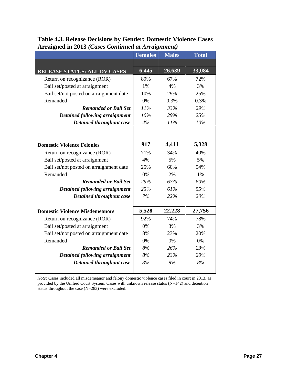|                                         | <b>Females</b> | <b>Males</b> | <b>Total</b> |
|-----------------------------------------|----------------|--------------|--------------|
|                                         |                |              |              |
| <b>RELEASE STATUS: ALL DV CASES</b>     | 6,445          | 26,639       | 33,084       |
| Return on recognizance (ROR)            | 89%            | 67%          | 72%          |
| Bail set/posted at arraignment          | 1%             | 4%           | 3%           |
| Bail set/not posted on arraignment date | 10%            | 29%          | 25%          |
| Remanded                                | 0%             | 0.3%         | 0.3%         |
| <b>Remanded or Bail Set</b>             | 11%            | 33%          | 29%          |
| Detained following arraignment          | 10%            | 29%          | 25%          |
| Detained throughout case                | 4%             | 11%          | 10%          |
|                                         |                |              |              |
|                                         |                |              |              |
| <b>Domestic Violence Felonies</b>       | 917            | 4,411        | 5,328        |
| Return on recognizance (ROR)            | 71%            | 34%          | 40%          |
| Bail set/posted at arraignment          | 4%             | 5%           | 5%           |
| Bail set/not posted on arraignment date | 25%            | 60%          | 54%          |
| Remanded                                | $0\%$          | 2%           | 1%           |
| <b>Remanded or Bail Set</b>             | 29%            | 67%          | 60%          |
| Detained following arraignment          | 25%            | 61%          | 55%          |
| Detained throughout case                | 7%             | 22%          | 20%          |
|                                         |                |              |              |
| <b>Domestic Violence Misdemeanors</b>   | 5,528          | 22,228       | 27,756       |
| Return on recognizance (ROR)            | 92%            | 74%          | 78%          |
| Bail set/posted at arraignment          | $0\%$          | 3%           | 3%           |
| Bail set/not posted on arraignment date | 8%             | 23%          | 20%          |
| Remanded                                | 0%             | 0%           | 0%           |
| <b>Remanded or Bail Set</b>             | 8%             | 26%          | 23%          |
| <b>Detained following arraignment</b>   | 8%             | 23%          | 20%          |
| Detained throughout case                | 3%             | 9%           | 8%           |
|                                         |                |              |              |

### **Table 4.3. Release Decisions by Gender: Domestic Violence Cases Arraigned in 2013** *(Cases Continued at Arraignment)*

*Note:* Cases included all misdemeanor and felony domestic violence cases filed in court in 2013, as provided by the Unified Court System. Cases with unknown release status (N=142) and detention status throughout the case (N=283) were excluded.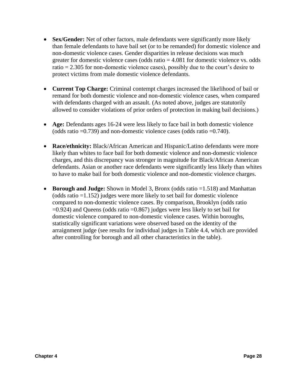- **Sex/Gender:** Net of other factors, male defendants were significantly more likely than female defendants to have bail set (or to be remanded) for domestic violence and non-domestic violence cases. Gender disparities in release decisions was much greater for domestic violence cases (odds ratio  $= 4.081$  for domestic violence vs. odds ratio = 2.305 for non-domestic violence cases), possibly due to the court's desire to protect victims from male domestic violence defendants.
- **Current Top Charge:** Criminal contempt charges increased the likelihood of bail or remand for both domestic violence and non-domestic violence cases, when compared with defendants charged with an assault. (As noted above, judges are statutorily allowed to consider violations of prior orders of protection in making bail decisions.)
- **Age:** Defendants ages 16-24 were less likely to face bail in both domestic violence (odds ratio =0.739) and non-domestic violence cases (odds ratio =0.740).
- **Race/ethnicity:** Black/African American and Hispanic/Latino defendants were more likely than whites to face bail for both domestic violence and non-domestic violence charges, and this discrepancy was stronger in magnitude for Black/African American defendants. Asian or another race defendants were significantly less likely than whites to have to make bail for both domestic violence and non-domestic violence charges.
- **Borough and Judge:** Shown in Model 3, Bronx (odds ratio =1.518) and Manhattan (odds ratio =1.152) judges were more likely to set bail for domestic violence compared to non-domestic violence cases. By comparison, Brooklyn (odds ratio =0.924) and Queens (odds ratio =0.867) judges were less likely to set bail for domestic violence compared to non-domestic violence cases. Within boroughs, statistically significant variations were observed based on the identity of the arraignment judge (see results for individual judges in Table 4.4, which are provided after controlling for borough and all other characteristics in the table).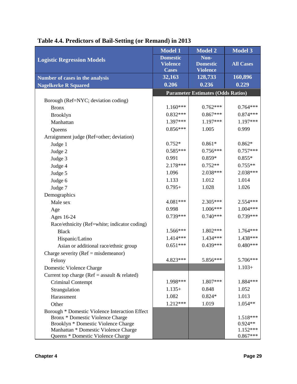| <b>Model 1</b>                     | <b>Model 2</b>                                                                                    | Model 3                                                                                                                                                  |
|------------------------------------|---------------------------------------------------------------------------------------------------|----------------------------------------------------------------------------------------------------------------------------------------------------------|
| <b>Domestic</b><br><b>Violence</b> | Non-<br><b>Domestic</b>                                                                           | <b>All Cases</b>                                                                                                                                         |
|                                    |                                                                                                   | 160,896                                                                                                                                                  |
|                                    |                                                                                                   | 0.229                                                                                                                                                    |
|                                    |                                                                                                   |                                                                                                                                                          |
|                                    |                                                                                                   |                                                                                                                                                          |
|                                    |                                                                                                   | $0.764***$                                                                                                                                               |
|                                    |                                                                                                   | $0.874***$                                                                                                                                               |
|                                    |                                                                                                   | 1.197***                                                                                                                                                 |
|                                    |                                                                                                   | 0.999                                                                                                                                                    |
|                                    |                                                                                                   |                                                                                                                                                          |
|                                    |                                                                                                   | $0.862*$                                                                                                                                                 |
| $0.585***$                         | $0.756***$                                                                                        | $0.757***$                                                                                                                                               |
| 0.991                              | $0.859*$                                                                                          | $0.855*$                                                                                                                                                 |
| 2.178***                           | $0.752**$                                                                                         | $0.755**$                                                                                                                                                |
| 1.096                              | 2.038***                                                                                          | 2.038***                                                                                                                                                 |
| 1.133                              | 1.012                                                                                             | 1.014                                                                                                                                                    |
| $0.795+$                           | 1.028                                                                                             | 1.026                                                                                                                                                    |
|                                    |                                                                                                   |                                                                                                                                                          |
| 4.081***                           |                                                                                                   | 2.554***                                                                                                                                                 |
| 0.998                              | $1.006***$                                                                                        | $1.004***$                                                                                                                                               |
| $0.739***$                         | $0.740***$                                                                                        | 0.739***                                                                                                                                                 |
|                                    |                                                                                                   |                                                                                                                                                          |
| 1.566***                           | 1.802***                                                                                          | 1.764***                                                                                                                                                 |
| 1.414***                           | 1.434***                                                                                          | 1.438***                                                                                                                                                 |
| $0.651***$                         | $0.439***$                                                                                        | $0.480***$                                                                                                                                               |
|                                    |                                                                                                   |                                                                                                                                                          |
| 4.823***                           | $5.856***$                                                                                        | 5.706***                                                                                                                                                 |
|                                    |                                                                                                   | $1.103+$                                                                                                                                                 |
|                                    |                                                                                                   |                                                                                                                                                          |
| 1.998***                           | 1.807***                                                                                          | 1.884***                                                                                                                                                 |
| $1.135+$                           | 0.848                                                                                             | 1.052                                                                                                                                                    |
| 1.082                              | $0.824*$                                                                                          | 1.013                                                                                                                                                    |
| 1.212***                           | 1.019                                                                                             | 1.054**                                                                                                                                                  |
|                                    |                                                                                                   |                                                                                                                                                          |
|                                    |                                                                                                   | 1.518***                                                                                                                                                 |
|                                    |                                                                                                   | $0.924**$                                                                                                                                                |
|                                    |                                                                                                   | $1.152***$<br>$0.867***$                                                                                                                                 |
|                                    | <b>Cases</b><br>32,163<br>0.206<br>$1.160***$<br>$0.832***$<br>1.397***<br>$0.856***$<br>$0.752*$ | <b>Violence</b><br>128,733<br>0.236<br><b>Parameter Estimates (Odds Ratios)</b><br>$0.762***$<br>$0.867***$<br>1.197***<br>1.005<br>$0.861*$<br>2.305*** |

## **Table 4.4. Predictors of Bail-Setting (or Remand) in 2013**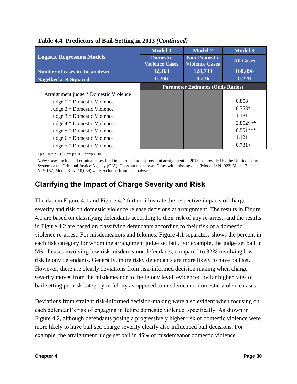|                                       | <b>Model 1</b>                           | <b>Model 2</b>                               | <b>Model 3</b>   |  |
|---------------------------------------|------------------------------------------|----------------------------------------------|------------------|--|
| <b>Logistic Regression Models</b>     | <b>Domestic</b><br><b>Violence Cases</b> | <b>Non-Domestic</b><br><b>Violence Cases</b> | <b>All Cases</b> |  |
| Number of cases in the analysis       | 32,163                                   | 128,733                                      | 160,896          |  |
| <b>Nagelkerke R Squared</b>           | 0.206                                    | 0.236                                        | 0.229            |  |
|                                       | <b>Parameter Estimates (Odds Ratios)</b> |                                              |                  |  |
| Arraignment judge * Domestic Violence |                                          |                                              |                  |  |
| Judge 1 * Domestic Violence           |                                          |                                              | 0.858            |  |
| Judge 2 * Domestic Violence           |                                          |                                              | $0.753*$         |  |
| Judge 3 * Domestic Violence           |                                          |                                              | 1.181            |  |
| Judge 4 * Domestic Violence           |                                          |                                              | $2.852***$       |  |
| Judge 5 * Domestic Violence           |                                          |                                              | $0.551***$       |  |
| Judge 6 * Domestic Violence           |                                          |                                              | 1.121            |  |
| Judge 7 * Domestic Violence           |                                          |                                              | $0.781+$         |  |

#### **Table 4.4. Predictors of Bail-Setting in 2013** *(Continued)*

+p<.10,\* p<.05, \*\* p<.01, \*\*\*p<.001

*Note:* Cases include all criminal cases filed in court and not disposed at arraignment in 2013, as provided by the Unified Court System or the Criminal Justice Agency (CJA). Constant not shown. Cases with missing data (Model 1: N=922; Model 2: N=9,137; Model 3: N=10,059) were excluded from the analysis.

# **Clarifying the Impact of Charge Severity and Risk**

The data in Figure 4.1 and Figure 4.2 further illustrate the respective impacts of charge severity and risk on domestic violence release decisions at arraignment. The results in Figure 4.1 are based on classifying defendants according to their risk of any re-arrest, and the results in Figure 4.2 are based on classifying defendants according to their risk of a domestic violence re-arrest. For misdemeanors and felonies, Figure 4.1 separately shows the percent in each risk category for whom the arraignment judge set bail. For example, the judge set bail in 5% of cases involving low risk misdemeanor defendants, compared to 32% involving low risk felony defendants. Generally, more risky defendants are more likely to have bail set. However, there are clearly deviations from risk-informed decision making when charge severity moves from the misdemeanor to the felony level, evidenced by far higher rates of bail-setting per risk category in felony as opposed to misdemeanor domestic violence cases.

Deviations from straight risk-informed decision-making were also evident when focusing on each defendant's risk of engaging in future domestic violence, specifically. As shown in Figure 4.2, although defendants posing a progressively higher risk of domestic violence were more likely to have bail set, charge severity clearly also influenced bail decisions. For example, the arraignment judge set bail in 45% of misdemeanor domestic violence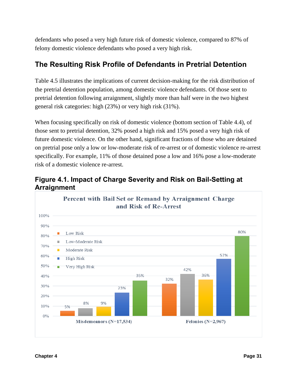defendants who posed a very high future risk of domestic violence, compared to 87% of felony domestic violence defendants who posed a very high risk.

## **The Resulting Risk Profile of Defendants in Pretrial Detention**

Table 4.5 illustrates the implications of current decision-making for the risk distribution of the pretrial detention population, among domestic violence defendants. Of those sent to pretrial detention following arraignment, slightly more than half were in the two highest general risk categories: high (23%) or very high risk (31%).

When focusing specifically on risk of domestic violence (bottom section of Table 4.4), of those sent to pretrial detention, 32% posed a high risk and 15% posed a very high risk of future domestic violence. On the other hand, significant fractions of those who are detained on pretrial pose only a low or low-moderate risk of re-arrest or of domestic violence re-arrest specifically. For example, 11% of those detained pose a low and 16% pose a low-moderate risk of a domestic violence re-arrest.



**Figure 4.1. Impact of Charge Severity and Risk on Bail-Setting at Arraignment**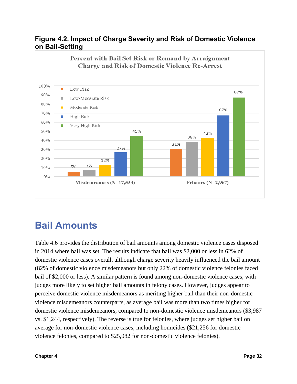### **Figure 4.2. Impact of Charge Severity and Risk of Domestic Violence on Bail-Setting**



# **Bail Amounts**

Table 4.6 provides the distribution of bail amounts among domestic violence cases disposed in 2014 where bail was set. The results indicate that bail was \$2,000 or less in 62% of domestic violence cases overall, although charge severity heavily influenced the bail amount (82% of domestic violence misdemeanors but only 22% of domestic violence felonies faced bail of \$2,000 or less). A similar pattern is found among non-domestic violence cases, with judges more likely to set higher bail amounts in felony cases. However, judges appear to perceive domestic violence misdemeanors as meriting higher bail than their non-domestic violence misdemeanors counterparts, as average bail was more than two times higher for domestic violence misdemeanors, compared to non-domestic violence misdemeanors (\$3,987 vs. \$1,244, respectively). The reverse is true for felonies, where judges set higher bail on average for non-domestic violence cases, including homicides (\$21,256 for domestic violence felonies, compared to \$25,082 for non-domestic violence felonies).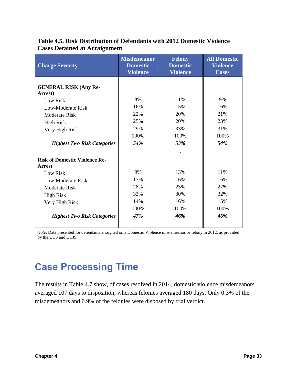| <b>Charge Severity</b>                                                                                                                                                              | <b>Misdemeanor</b><br><b>Domestic</b><br><b>Violence</b> | <b>Felony</b><br><b>Domestic</b><br><b>Violence</b> | <b>All Domestic</b><br>Violence<br><b>Cases</b> |
|-------------------------------------------------------------------------------------------------------------------------------------------------------------------------------------|----------------------------------------------------------|-----------------------------------------------------|-------------------------------------------------|
| <b>GENERAL RISK (Any Re-</b><br>Arrest)<br>Low Risk<br>Low-Moderate Risk<br><b>Moderate Risk</b>                                                                                    | 8%<br>16%<br>22%                                         | 11%<br>15%<br>20%                                   | 9%<br>16%<br>21%                                |
| <b>High Risk</b><br>Very High Risk<br><b>Highest Two Risk Categories</b>                                                                                                            | 25%<br>29%<br>100%<br>54%                                | 20%<br>33%<br>100%<br>53%                           | 23%<br>31%<br>100%<br>54%                       |
| <b>Risk of Domestic Violence Re-</b><br><b>Arrest</b><br>Low Risk<br>Low-Moderate Risk<br>Moderate Risk<br><b>High Risk</b><br>Very High Risk<br><b>Highest Two Risk Categories</b> | 9%<br>17%<br>28%<br>33%<br>14%<br>100%<br>47%            | 13%<br>16%<br>25%<br>30%<br>16%<br>100%<br>46%      | 11%<br>16%<br>27%<br>32%<br>15%<br>100%<br>46%  |

### **Table 4.5. Risk Distribution of Defendants with 2012 Domestic Violence Cases Detained at Arraignment**

*Note*: Data presented for defendants arraigned on a Domestic Violence misdemeanor or felony in 2012, as provided by the UCS and DCJS.

# **Case Processing Time**

The results in Table 4.7 show, of cases resolved in 2014, domestic violence misdemeanors averaged 107 days to disposition, whereas felonies averaged 180 days. Only 0.3% of the misdemeanors and 0.9% of the felonies were disposed by trial verdict.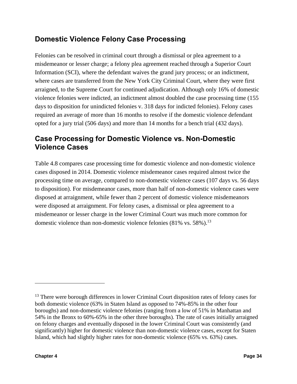# **Domestic Violence Felony Case Processing**

Felonies can be resolved in criminal court through a dismissal or plea agreement to a misdemeanor or lesser charge; a felony plea agreement reached through a Superior Court Information (SCI), where the defendant waives the grand jury process; or an indictment, where cases are transferred from the New York City Criminal Court, where they were first arraigned, to the Supreme Court for continued adjudication. Although only 16% of domestic violence felonies were indicted, an indictment almost doubled the case processing time (155 days to disposition for unindicted felonies v. 318 days for indicted felonies). Felony cases required an average of more than 16 months to resolve if the domestic violence defendant opted for a jury trial (506 days) and more than 14 months for a bench trial (432 days).

## **Case Processing for Domestic Violence vs. Non-Domestic Violence Cases**

Table 4.8 compares case processing time for domestic violence and non-domestic violence cases disposed in 2014. Domestic violence misdemeanor cases required almost twice the processing time on average, compared to non-domestic violence cases (107 days vs. 56 days to disposition). For misdemeanor cases, more than half of non-domestic violence cases were disposed at arraignment, while fewer than 2 percent of domestic violence misdemeanors were disposed at arraignment. For felony cases, a dismissal or plea agreement to a misdemeanor or lesser charge in the lower Criminal Court was much more common for domestic violence than non-domestic violence felonies  $(81\% \text{ vs. } 58\%)$ .<sup>13</sup>

<sup>&</sup>lt;sup>13</sup> There were borough differences in lower Criminal Court disposition rates of felony cases for both domestic violence (63% in Staten Island as opposed to 74%-85% in the other four boroughs) and non-domestic violence felonies (ranging from a low of 51% in Manhattan and 54% in the Bronx to 60%-65% in the other three boroughs). The rate of cases initially arraigned on felony charges and eventually disposed in the lower Criminal Court was consistently (and significantly) higher for domestic violence than non-domestic violence cases, except for Staten Island, which had slightly higher rates for non-domestic violence (65% vs. 63%) cases.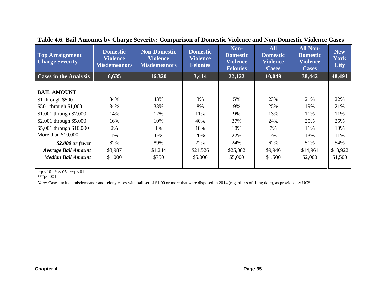| <b>Top Arraignment</b><br><b>Charge Severity</b> | <b>Domestic</b><br><b>Violence</b><br><b>Misdemeanors</b> | <b>Non-Domestic</b><br><b>Violence</b><br><b>Misdemeanors</b> | <b>Domestic</b><br><b>Violence</b><br><b>Felonies</b> | Non-<br><b>Domestic</b><br>Violence<br><b>Felonies</b> | <b>All</b><br><b>Domestic</b><br><b>Violence</b><br><b>Cases</b> | <b>All Non-</b><br><b>Domestic</b><br><b>Violence</b><br><b>Cases</b> | <b>New</b><br><b>York</b><br><b>City</b> |
|--------------------------------------------------|-----------------------------------------------------------|---------------------------------------------------------------|-------------------------------------------------------|--------------------------------------------------------|------------------------------------------------------------------|-----------------------------------------------------------------------|------------------------------------------|
| <b>Cases in the Analysis</b>                     | 6,635                                                     | 16,320                                                        | 3,414                                                 | 22,122                                                 | 10,049                                                           | 38,442                                                                | 48,491                                   |
| <b>BAIL AMOUNT</b>                               |                                                           |                                                               |                                                       |                                                        |                                                                  |                                                                       |                                          |
| $$1$ through $$500$                              | 34%                                                       | 43%                                                           | 3%                                                    | 5%                                                     | 23%                                                              | 21%                                                                   | 22%                                      |
| \$501 through \$1,000                            | 34%                                                       | 33%                                                           | 8%                                                    | 9%                                                     | 25%                                                              | 19%                                                                   | 21%                                      |
| $$1,001$ through $$2,000$                        | 14%                                                       | 12%                                                           | 11%                                                   | 9%                                                     | 13%                                                              | 11%                                                                   | 11%                                      |
| \$2,001 through $$5,000$                         | 16%                                                       | 10%                                                           | 40%                                                   | 37%                                                    | 24%                                                              | 25%                                                                   | 25%                                      |
| \$5,001 through \$10,000                         | 2%                                                        | 1%                                                            | 18%                                                   | 18%                                                    | 7%                                                               | 11%                                                                   | 10%                                      |
| More than $$10,000$                              | 1%                                                        | $0\%$                                                         | 20%                                                   | 22%                                                    | 7%                                                               | 13%                                                                   | 11%                                      |
| $$2,000$ or fewer                                | 82%                                                       | 89%                                                           | 22%                                                   | 24%                                                    | 62%                                                              | 51%                                                                   | 54%                                      |
| <b>Average Bail Amount</b>                       | \$3,987                                                   | \$1,244                                                       | \$21,526                                              | \$25,082                                               | \$9,946                                                          | \$14,961                                                              | \$13,922                                 |
| Median Bail Amount                               | \$1,000                                                   | \$750                                                         | \$5,000                                               | \$5,000                                                | \$1,500                                                          | \$2,000                                                               | \$1,500                                  |

**Table 4.6. Bail Amounts by Charge Severity: Comparison of Domestic Violence and Non-Domestic Violence Cases**

 $+p<.10$  \*p<.05 \*\*p<.01

\*\*\*p<.001

*Note:* Cases include misdemeanor and felony cases with bail set of \$1.00 or more that were disposed in 2014 (regardless of filing date), as provided by UCS.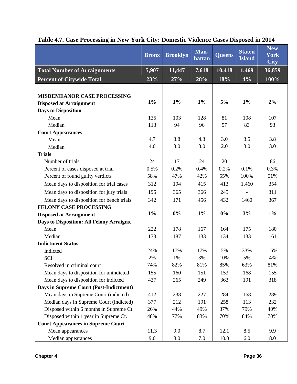|                                           | <b>Bronx</b> | <b>Brooklyn</b> | Man-<br>hattan | <b>Queens</b> | <b>Staten</b><br><b>Island</b> | <b>New</b><br><b>York</b><br><b>City</b> |
|-------------------------------------------|--------------|-----------------|----------------|---------------|--------------------------------|------------------------------------------|
| <b>Total Number of Arraignments</b>       | 5,907        | 11,447          | $7,\!618$      | 10,418        | 1,469                          | 36,859                                   |
| <b>Percent of Citywide Total</b>          | 23%          | 27%             | 28%            | 18%           | 4%                             | 100%                                     |
|                                           |              |                 |                |               |                                |                                          |
| <b>MISDEMEANOR CASE PROCESSING</b>        |              |                 |                |               |                                |                                          |
| <b>Disposed at Arraignment</b>            | $1\%$        | $1\%$           | $1\%$          | 5%            | $1\%$                          | 2%                                       |
| <b>Days to Disposition</b>                |              |                 |                |               |                                |                                          |
| Mean                                      | 135          | 103             | 128            | 81            | 108                            | 107                                      |
| Median                                    | 113          | 94              | 96             | 57            | 83                             | 93                                       |
| <b>Court Appearances</b>                  |              |                 |                |               |                                |                                          |
| Mean                                      | 4.7          | 3.8             | 4.3            | 3.0           | 3.5                            | 3.8                                      |
| Median                                    | 4.0          | 3.0             | 3.0            | 2.0           | 3.0                            | 3.0                                      |
| <b>Trials</b>                             |              |                 |                |               |                                |                                          |
| Number of trials                          | 24           | 17              | 24             | 20            | 1                              | 86                                       |
| Percent of cases disposed at trial        | 0.5%         | 0.2%            | 0.4%           | 0.2%          | 0.1%                           | 0.3%                                     |
| Percent of found guilty verdicts          | 58%          | 47%             | 42%            | 55%           | 100%                           | 51%                                      |
| Mean days to disposition for trial cases  | 312          | 194             | 415            | 413           | 1,460                          | 354                                      |
| Mean days to disposition for jury trials  | 195          | 365             | 366            | 245           |                                | 311                                      |
| Mean days to disposition for bench trials | 342          | 171             | 456            | 432           | 1460                           | 367                                      |
| FELONY CASE PROCESSING                    |              |                 |                |               |                                |                                          |
| <b>Disposed at Arraignment</b>            | $1\%$        | 0%              | $1\%$          | $0\%$         | 3%                             | $1\%$                                    |
| Days to Disposition: All Felony Arraigns. |              |                 |                |               |                                |                                          |
| Mean                                      | 222          | 178             | 167            | 164           | 175                            | 180                                      |
| Median                                    | 173          | 187             | 133            | 134           | 133                            | 161                                      |
| <b>Indictment Status</b>                  |              |                 |                |               |                                |                                          |
| Indicted                                  | 24%          | 17%             | 17%            | 5%            | 33%                            | 16%                                      |
| <b>SCI</b>                                | 2%           | 1%              | 3%             | 10%           | 5%                             | 4%                                       |
| Resolved in criminal court                | 74%          | 82%             | 81%            | 85%           | 63%                            | 81%                                      |
| Mean days to disposition for unindicted   | 155          | 160             | 151            | 153           | 168                            | 155                                      |
| Mean days to disposition for indicted     | 437          | 265             | 249            | 363           | 191                            | 318                                      |
| Days in Supreme Court (Post-Indictment)   |              |                 |                |               |                                |                                          |
| Mean days in Supreme Court (indicted)     | 412          | 238             | 227            | 284           | 168                            | 289                                      |
| Median days in Supreme Court (indicted)   | 377          | 212             | 191            | 258           | 113                            | 232                                      |
| Disposed within 6 months in Supreme Ct.   | 26%          | 44%             | 49%            | 37%           | 79%                            | 40%                                      |
| Disposed within 1 year in Supreme Ct.     | 48%          | 77%             | 83%            | 70%           | 84%                            | 70%                                      |
| <b>Court Appearances in Supreme Court</b> |              |                 |                |               |                                |                                          |
| Mean appearances                          | 11.3         | 9.0             | 8.7            | 12.1          | 8.5                            | 9.9                                      |
| Median appearances                        | 9.0          | 8.0             | 7.0            | 10.0          | 6.0                            | 8.0                                      |

# **Table 4.7. Case Processing in New York City: Domestic Violence Cases Disposed in 2014**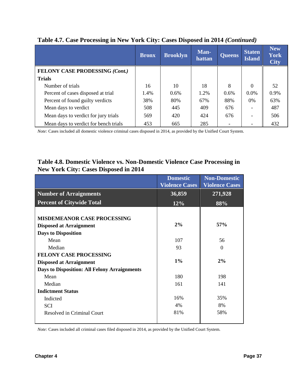|                                       | <b>Bronx</b> | <b>Brooklyn</b> | Man-<br>hattan | <b>Queens</b> | <b>Staten</b><br><b>Island</b> | <b>New</b><br><b>York</b><br><b>City</b> |
|---------------------------------------|--------------|-----------------|----------------|---------------|--------------------------------|------------------------------------------|
| FELONY CASE PRODESSING (Cont.)        |              |                 |                |               |                                |                                          |
| <b>Trials</b>                         |              |                 |                |               |                                |                                          |
| Number of trials                      | 16           | 10              | 18             | 8             | 0                              | 52                                       |
| Percent of cases disposed at trial    | 1.4%         | 0.6%            | 1.2%           | $0.6\%$       | 0.0%                           | 0.9%                                     |
| Percent of found guilty verdicts      | 38%          | 80%             | 67%            | 88%           | $0\%$                          | 63%                                      |
| Mean days to verdict                  | 508          | 445             | 409            | 676           |                                | 487                                      |
| Mean days to verdict for jury trials  | 569          | 420             | 424            | 676           |                                | 506                                      |
| Mean days to verdict for bench trials | 453          | 665             | 285            |               |                                | 432                                      |

### **Table 4.7. Case Processing in New York City: Cases Disposed in 2014** *(Continued)*

*Note:* Cases included all domestic violence criminal cases disposed in 2014, as provided by the Unified Court System.

### **Table 4.8. Domestic Violence vs. Non-Domestic Violence Case Processing in New York City: Cases Disposed in 2014**

|                                              | <b>Domestic</b><br><b>Violence Cases</b> | <b>Non-Domestic</b><br><b>Violence Cases</b> |
|----------------------------------------------|------------------------------------------|----------------------------------------------|
| <b>Number of Arraignments</b>                | 36,859                                   | 271,928                                      |
| <b>Percent of Citywide Total</b>             | 12%                                      | 88%                                          |
| <b>MISDEMEANOR CASE PROCESSING</b>           |                                          |                                              |
| <b>Disposed at Arraignment</b>               | 2%                                       | 57%                                          |
| <b>Days to Disposition</b>                   |                                          |                                              |
| Mean                                         | 107                                      | 56                                           |
| Median                                       | 93                                       | $\Omega$                                     |
| <b>FELONY CASE PROCESSING</b>                |                                          |                                              |
| <b>Disposed at Arraignment</b>               | $1\%$                                    | 2%                                           |
| Days to Disposition: All Felony Arraignments |                                          |                                              |
| Mean                                         | 180                                      | 198                                          |
| Median                                       | 161                                      | 141                                          |
| <b>Indictment Status</b>                     |                                          |                                              |
| Indicted                                     | 16%                                      | 35%                                          |
| <b>SCI</b>                                   | 4%                                       | 8%                                           |
| Resolved in Criminal Court                   | 81%                                      | 58%                                          |

*Note:* Cases included all criminal cases filed disposed in 2014, as provided by the Unified Court System.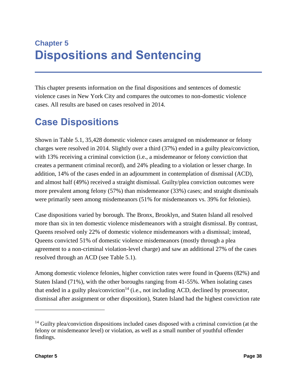# **Chapter 5 Dispositions and Sentencing**

This chapter presents information on the final dispositions and sentences of domestic violence cases in New York City and compares the outcomes to non-domestic violence cases. All results are based on cases resolved in 2014.

# **Case Dispositions**

Shown in Table 5.1, 35,428 domestic violence cases arraigned on misdemeanor or felony charges were resolved in 2014. Slightly over a third (37%) ended in a guilty plea/conviction, with 13% receiving a criminal conviction (i.e., a misdemeanor or felony conviction that creates a permanent criminal record), and 24% pleading to a violation or lesser charge. In addition, 14% of the cases ended in an adjournment in contemplation of dismissal (ACD), and almost half (49%) received a straight dismissal. Guilty/plea conviction outcomes were more prevalent among felony (57%) than misdemeanor (33%) cases; and straight dismissals were primarily seen among misdemeanors (51% for misdemeanors vs. 39% for felonies).

Case dispositions varied by borough. The Bronx, Brooklyn, and Staten Island all resolved more than six in ten domestic violence misdemeanors with a straight dismissal. By contrast, Queens resolved only 22% of domestic violence misdemeanors with a dismissal; instead, Queens convicted 51% of domestic violence misdemeanors (mostly through a plea agreement to a non-criminal violation-level charge) and saw an additional 27% of the cases resolved through an ACD (see Table 5.1).

Among domestic violence felonies, higher conviction rates were found in Queens (82%) and Staten Island (71%), with the other boroughs ranging from 41-55%. When isolating cases that ended in a guilty plea/conviction<sup>14</sup> (i.e., not including ACD, declined by prosecutor, dismissal after assignment or other disposition), Staten Island had the highest conviction rate

 $\overline{a}$ 

 $14$  Guilty plea/conviction dispositions included cases disposed with a criminal conviction (at the felony or misdemeanor level) or violation, as well as a small number of youthful offender findings.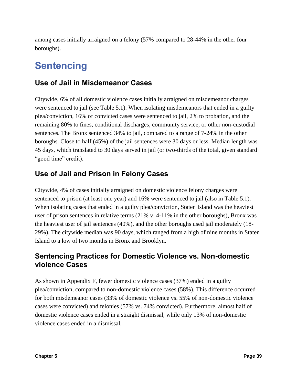among cases initially arraigned on a felony (57% compared to 28-44% in the other four boroughs).

# **Sentencing**

## **Use of Jail in Misdemeanor Cases**

Citywide, 6% of all domestic violence cases initially arraigned on misdemeanor charges were sentenced to jail (see Table 5.1). When isolating misdemeanors that ended in a guilty plea/conviction, 16% of convicted cases were sentenced to jail, 2% to probation, and the remaining 80% to fines, conditional discharges, community service, or other non-custodial sentences. The Bronx sentenced 34% to jail, compared to a range of 7-24% in the other boroughs. Close to half (45%) of the jail sentences were 30 days or less. Median length was 45 days, which translated to 30 days served in jail (or two-thirds of the total, given standard "good time" credit).

# **Use of Jail and Prison in Felony Cases**

Citywide, 4% of cases initially arraigned on domestic violence felony charges were sentenced to prison (at least one year) and 16% were sentenced to jail (also in Table 5.1). When isolating cases that ended in a guilty plea/conviction, Staten Island was the heaviest user of prison sentences in relative terms (21% v. 4-11% in the other boroughs), Bronx was the heaviest user of jail sentences (40%), and the other boroughs used jail moderately (18- 29%). The citywide median was 90 days, which ranged from a high of nine months in Staten Island to a low of two months in Bronx and Brooklyn.

## **Sentencing Practices for Domestic Violence vs. Non-domestic violence Cases**

As shown in Appendix F, fewer domestic violence cases (37%) ended in a guilty plea/conviction, compared to non-domestic violence cases (58%). This difference occurred for both misdemeanor cases (33% of domestic violence vs. 55% of non-domestic violence cases were convicted) and felonies (57% vs. 74% convicted). Furthermore, almost half of domestic violence cases ended in a straight dismissal, while only 13% of non-domestic violence cases ended in a dismissal.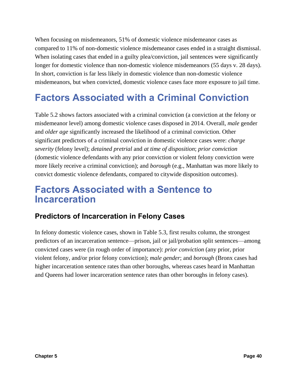When focusing on misdemeanors, 51% of domestic violence misdemeanor cases as compared to 11% of non-domestic violence misdemeanor cases ended in a straight dismissal. When isolating cases that ended in a guilty plea/conviction, jail sentences were significantly longer for domestic violence than non-domestic violence misdemeanors (55 days v. 28 days). In short, conviction is far less likely in domestic violence than non-domestic violence misdemeanors, but when convicted, domestic violence cases face more exposure to jail time.

# **Factors Associated with a Criminal Conviction**

Table 5.2 shows factors associated with a criminal conviction (a conviction at the felony or misdemeanor level) among domestic violence cases disposed in 2014. Overall, *male* gender and *older age* significantly increased the likelihood of a criminal conviction. Other significant predictors of a criminal conviction in domestic violence cases were: *charge severity* (felony level); *detained pretrial* and *at time of disposition*; *prior conviction*  (domestic violence defendants with any prior conviction or violent felony conviction were more likely receive a criminal conviction); and *borough* (e.g., Manhattan was more likely to convict domestic violence defendants, compared to citywide disposition outcomes).

# **Factors Associated with a Sentence to Incarceration**

## **Predictors of Incarceration in Felony Cases**

In felony domestic violence cases, shown in Table 5.3, first results column, the strongest predictors of an incarceration sentence—prison, jail or jail/probation split sentences—among convicted cases were (in rough order of importance): *prior conviction* (any prior, prior violent felony, and/or prior felony conviction); *male gender*; and *borough* (Bronx cases had higher incarceration sentence rates than other boroughs, whereas cases heard in Manhattan and Queens had lower incarceration sentence rates than other boroughs in felony cases).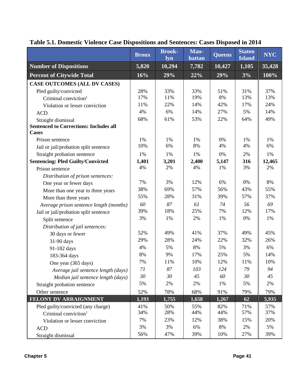|                                               | <b>Bronx</b> | <b>Brook-</b><br>lyn | Man-<br>hattan | <b>Queens</b> | <b>Staten</b><br><b>Island</b> | <b>NYC</b> |
|-----------------------------------------------|--------------|----------------------|----------------|---------------|--------------------------------|------------|
| <b>Number of Dispositions</b>                 | 5,820        | 10,294               | 7,782          | 10,427        | 1,105                          | 35,428     |
| <b>Percent of Citywide Total</b>              | 16%          | 29%                  | 22%            | 29%           | 3%                             | 100%       |
| <b>CASE OUTCOMES (ALL DV CASES)</b>           |              |                      |                |               |                                |            |
| Pled guilty/convicted                         | 28%          | 33%                  | 33%            | 51%           | 31%                            | 37%        |
| Criminal conviction <sup>1</sup>              | 17%          | 11%                  | 19%            | 8%            | 13%                            | 13%        |
| Violation or lesser conviction                | 11%          | 22%                  | 14%            | 42%           | 17%                            | 24%        |
| <b>ACD</b>                                    | 4%           | 6%                   | 14%            | 27%           | 5%                             | 14%        |
| Straight dismissal                            | 68%          | 61%                  | 53%            | 22%           | 64%                            | 49%        |
| <b>Sentenced to Corrections: Includes all</b> |              |                      |                |               |                                |            |
| <b>Cases</b>                                  |              |                      |                |               |                                |            |
| Prison sentence                               | 1%           | 1%                   | 1%             | 0%            | 1%                             | 1%         |
| Jail or jail/probation split sentence         | 10%          | 6%                   | 8%             | 4%            | 4%                             | 6%         |
| Straight probation sentence                   | 1%           | 1%                   | 1%             | 0%            | 2%                             | 1%         |
| <b>Sentencing: Pled Guilty/Convicted</b>      | 1,401        | 3,201                | 2,400          | 5,147         | 316                            | 12,465     |
| Prison sentence                               | 4%           | 2%                   | 4%             | 1%            | 3%                             | 2%         |
| Distribution of prison sentences:             |              |                      |                |               |                                |            |
| One year or fewer days                        | 7%           | 3%                   | 12%            | 6%            | 0%                             | 8%         |
| More than one year to three years             | 38%          | 69%                  | 57%            | 56%           | 43%                            | 55%        |
| More than three years                         | 55%          | 28%                  | 31%            | 39%           | 57%                            | 37%        |
| Average prison sentence length (months)       | 60           | 87                   | 61             | 74            | 56                             | 69         |
| Jail or jail/probation split sentence         | 39%          | 18%                  | 25%            | 7%            | 12%                            | 17%        |
| Split sentence                                | 3%           | 1%                   | 2%             | 1%            | 0%                             | 1%         |
| Distribution of jail sentences:               |              |                      |                |               |                                |            |
| 30 days or fewer                              | 52%          | 49%                  | 41%            | 37%           | 49%                            | 45%        |
| 31-90 days                                    | 29%          | 28%                  | 24%            | 22%           | 32%                            | 26%        |
| 91-182 days                                   | 4%           | 5%                   | 8%             | 5%            | 3%                             | 6%         |
| 183-364 days                                  | 8%           | 9%                   | 17%            | 25%           | 5%                             | 14%        |
| One year (365 days)                           | 7%           | 11%                  | 10%            | 12%           | 11%                            | 10%        |
| Average jail sentence length (days)           | 71           | 87                   | 103            | 124           | 79                             | 94         |
| Median jail sentence length (days)            | 30           | 30                   | 45             | 60            | 30                             | 45         |
| Straight probation sentence                   | 5%           | 2%                   | 2%             | 1%            | 5%                             | 2%         |
| Other sentence                                | 52%          | 78%                  | 68%            | 91%           | 79%                            | 79%        |
| FELONY DV ARRAIGNMENT                         | 1,193        | 1,755                | 1,658          | 1,267         | 62                             | 5,935      |
| Pled guilty/convicted (any charge)            | 41%          | 50%                  | 55%            | 82%           | 71%                            | 57%        |
| Criminal conviction <sup>1</sup>              | 34%          | 28%                  | 44%            | 44%           | 57%                            | 37%        |
| Violation or lesser conviction                | 7%           | 23%                  | 12%            | 38%           | 15%                            | 20%        |
| <b>ACD</b>                                    | 3%           | 3%                   | 6%             | 8%            | 2%                             | 5%         |
| Straight dismissal                            | 56%          | 47%                  | 39%            | 10%           | 27%                            | 39%        |

# **Table 5.1. Domestic Violence Case Dispositions and Sentences: Cases Disposed in 2014**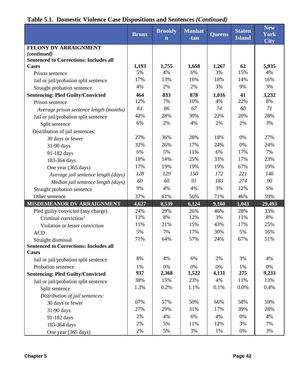|                                               | <b>Bronx</b> | <b>Brookly</b><br>$\mathbf n$ | Manhat<br>-tan | <b>Queens</b> | <b>Staten</b><br><b>Island</b> | <b>New</b><br><b>York</b><br>$\overline{\text{City}}$ |
|-----------------------------------------------|--------------|-------------------------------|----------------|---------------|--------------------------------|-------------------------------------------------------|
| FELONY DV ARRAIGNMENT                         |              |                               |                |               |                                |                                                       |
| (continued)                                   |              |                               |                |               |                                |                                                       |
| <b>Sentenced to Corrections: Includes all</b> |              |                               |                |               |                                |                                                       |
| <b>Cases</b>                                  | 1,193        | 1,755                         | 1,658          | 1,267         | 62                             | 5,935                                                 |
| Prison sentence                               | 5%           | 4%                            | 6%             | 3%            | 15%                            | 4%                                                    |
| Jail or jail/probation split sentence         | 17%          | 13%                           | 16%            | 18%           | 14%                            | 16%                                                   |
| Straight probation sentence                   | 4%           | 2%                            | 2%             | 3%            | 9%                             | 3%                                                    |
| <b>Sentencing: Pled Guilty/Convicted</b>      | 464          | 833                           | 878            | 1,016         | 41                             | 3,232                                                 |
| Prison sentence                               | 12%          | 7%                            | 10%            | 4%            | 22%                            | 8%                                                    |
| Average prison sentence length (months)       | 61           | 86                            | 67             | 74            | 60                             | 71                                                    |
| Jail or jail/probation split sentence         | 42%          | 28%                           | 30%            | 22%           | 20%                            | 28%                                                   |
| Split sentence                                | 6%           | 2%                            | 4%             | 2%            | 2%                             | 3%                                                    |
| Distribution of jail sentences:               |              |                               |                |               |                                |                                                       |
| 30 days or fewer                              | 27%          | 36%                           | 28%            | 18%           | 0%                             | 27%                                                   |
| 31-90 days                                    | 32%          | 26%                           | 17%            | 24%           | 0%                             | 24%                                                   |
| 91-182 days                                   | 6%           | 5%                            | 11%            | 6%            | 17%                            | 7%                                                    |
| 183-364 days                                  | 18%          | 14%                           | 25%            | 33%           | 17%                            | 23%                                                   |
| One year (365 days)                           | 17%          | 19%                           | 19%            | 19%           | 67%                            | 19%                                                   |
| Average jail sentence length (days)           | 128          | 129                           | 150            | 172           | 221                            | 146                                                   |
| Median jail sentence length (days)            | 60           | 60                            | 91             | 183           | 274                            | 90                                                    |
| Straight probation sentence                   | 9%           | 4%                            | 4%             | 3%            | 12%                            | 5%                                                    |
| Other sentence                                | 37%          | 61%                           | 56%            | 71%           | 46%                            | 59%                                                   |
| MISDEMEANOR DV ARRAIGNMENT                    | 4,627        | 8,539                         | 6,124          | 9,160         | 1,043                          | 29,493                                                |
| Pled guilty/convicted (any charge)            | 24%          | 29%                           | 26%            | 46%           | 28%                            | 33%                                                   |
| Criminal conviction $1$                       | 13%          | 8%                            | 12%            | 3%            | 11%                            | 8%                                                    |
| Violation or lesser conviction                | 11%          | 21%                           | 15%            | 43%           | 17%                            | 25%                                                   |
| <b>ACD</b>                                    | 5%           | 7%                            | 17%            | 30%           | 5%                             | 16%                                                   |
| Straight dismissal                            | 71%          | 64%                           | 57%            | 24%           | 67%                            | 51%                                                   |
| <b>Sentenced to Corrections: Includes all</b> |              |                               |                |               |                                |                                                       |
| <b>Cases</b>                                  |              |                               |                |               |                                |                                                       |
| Jail or jail/probation split sentence         | 8%           | 4%                            | 6%             | 2%            | 3%                             | 4%                                                    |
| Probation sentence                            | 1%           | 0%                            | 0%             | 0%            | 1%                             | 0%                                                    |
| <b>Sentencing: Pled Guilty/Convicted</b>      | 937          | 2,368                         | 1,522          | 4,131         | 275                            | 9,233                                                 |
| Jail or jail/probation split sentence         | 38%          | 15%                           | 23%            | 4%            | 11%                            | 13%                                                   |
| Split sentence                                | 1.3%         | 0.2%                          | 1.1%           | 0.1%          | 0.0%                           | 0.4%                                                  |
| Distribution of jail sentences:               |              |                               |                |               |                                |                                                       |
| 30 days or fewer                              | 67%          | 57%                           | 50%            | 66%           | 58%                            | 59%                                                   |
| 31-90 days                                    | 27%          | 29%                           | 31%            | 17%           | 39%                            | 28%                                                   |
| 91-182 days                                   | 2%           | 4%                            | 6%             | 4%            | 0%                             | 4%                                                    |
| 183-364 days                                  | 2%           | 5%                            | 11%            | 12%           | 3%                             | 7%                                                    |
| One year (365 days)                           | 2%           | 5%                            | 3%             | 1%            | 0%                             | 3%                                                    |

## **Table 5.1. Domestic Violence Case Dispositions and Sentences** *(Continued)*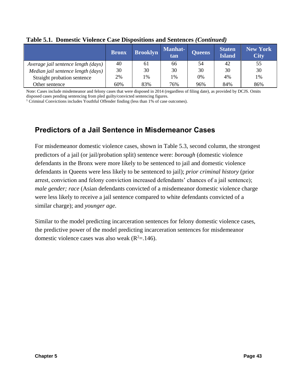|                                     | <b>Bronx</b> | <b>Brooklyn</b> | <b>Manhat-</b><br>tan | <b>Queens</b> | <b>Staten</b><br><b>Island</b> | <b>New York</b><br><b>City</b> |
|-------------------------------------|--------------|-----------------|-----------------------|---------------|--------------------------------|--------------------------------|
| Average jail sentence length (days) | 40           | 61              | 66                    | 54            | 42                             | 55                             |
| Median jail sentence length (days)  | 30           | 30              | 30                    | 30            | 30                             | 30                             |
| Straight probation sentence         | 2%           | 1%              | 1%                    | 0%            | 4%                             | 1%                             |
| Other sentence                      | 60%          | 83%             | 76%                   | 96%           | 84%                            | 86%                            |

#### **Table 5.1. Domestic Violence Case Dispositions and Sentences** *(Continued)*

Note: Cases include misdemeanor and felony cases that were disposed in 2014 (regardless of filing date), as provided by DCJS. Omits disposed cases pending sentencing from pled guilty/convicted sentencing figures.

<sup>1</sup> Criminal Convictions includes Youthful Offender finding (less than 1% of case outcomes).

## **Predictors of a Jail Sentence in Misdemeanor Cases**

For misdemeanor domestic violence cases, shown in Table 5.3, second column, the strongest predictors of a jail (or jail/probation split) sentence were: *borough* (domestic violence defendants in the Bronx were more likely to be sentenced to jail and domestic violence defendants in Queens were less likely to be sentenced to jail); *prior criminal history* (prior arrest, conviction and felony conviction increased defendants' chances of a jail sentence); *male gender; race* (Asian defendants convicted of a misdemeanor domestic violence charge were less likely to receive a jail sentence compared to white defendants convicted of a similar charge); and *younger age*.

Similar to the model predicting incarceration sentences for felony domestic violence cases, the predictive power of the model predicting incarceration sentences for misdemeanor domestic violence cases was also weak  $(R^2=146)$ .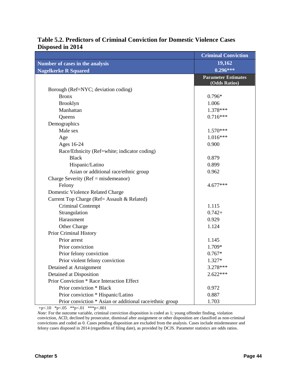|                                                          | <b>Criminal Conviction</b>                  |
|----------------------------------------------------------|---------------------------------------------|
| Number of cases in the analysis                          | 19,162                                      |
| <b>Nagelkerke R Squared</b>                              | $0.296***$                                  |
|                                                          | <b>Parameter Estimates</b><br>(Odds Ratios) |
| Borough (Ref=NYC; deviation coding)                      |                                             |
| <b>Bronx</b>                                             | $0.796*$                                    |
| <b>Brooklyn</b>                                          | 1.006                                       |
| Manhattan                                                | 1.378***                                    |
| Queens                                                   | $0.716***$                                  |
| Demographics                                             |                                             |
| Male sex                                                 | $1.570***$                                  |
| Age                                                      | $1.016***$                                  |
| Ages 16-24                                               | 0.900                                       |
| Race/Ethnicity (Ref=white; indicator coding)             |                                             |
| <b>Black</b>                                             | 0.879                                       |
| Hispanic/Latino                                          | 0.899                                       |
| Asian or additional race/ethnic group                    | 0.962                                       |
| Charge Severity ( $Ref = misdemeanor$ )                  |                                             |
| Felony                                                   | 4.677***                                    |
| Domestic Violence Related Charge                         |                                             |
| Current Top Charge (Ref= Assault & Related)              |                                             |
| Criminal Contempt                                        | 1.115                                       |
| Strangulation                                            | $0.742+$                                    |
| Harassment                                               | 0.929                                       |
| Other Charge                                             | 1.124                                       |
| Prior Criminal History                                   |                                             |
| Prior arrest                                             | 1.145                                       |
| Prior conviction                                         | 1.709*                                      |
| Prior felony conviction                                  | $0.767*$                                    |
| Prior violent felony conviction                          | 1.327*                                      |
| Detained at Arraignment                                  | 3.278***                                    |
| Detained at Disposition                                  | $2.622***$                                  |
| Prior Conviction * Race Interaction Effect               |                                             |
| Prior conviction * Black                                 | 0.972                                       |
| Prior conviction * Hispanic/Latino                       | 0.887                                       |
| Prior conviction * Asian or additional race/ethnic group | 1.703                                       |

### **Table 5.2. Predictors of Criminal Conviction for Domestic Violence Cases Disposed in 2014**

+p<.10 \*p<.05 \*\*p<.01 \*\*\*p<.001

*Note:* For the outcome variable, criminal conviction disposition is coded as 1; young offender finding, violation conviction, ACD, declined by prosecutor, dismissal after assignment or other disposition are classified as non-criminal convictions and coded as 0. Cases pending disposition are excluded from the analysis. Cases include misdemeanor and felony cases disposed in 2014 (regardless of filing date), as provided by DCJS. Parameter statistics are odds ratios.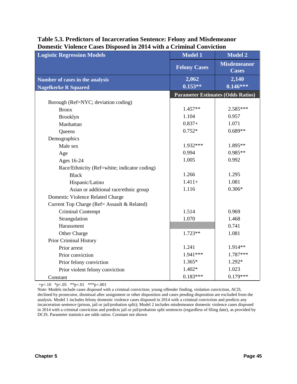| <b>Logistic Regression Models</b>            | <b>Model 1</b>      | <b>Model 2</b>                           |
|----------------------------------------------|---------------------|------------------------------------------|
|                                              | <b>Felony Cases</b> | <b>Misdemeanor</b><br><b>Cases</b>       |
| Number of cases in the analysis              | 2,062               | $\sqrt{2,140}$                           |
| <b>Nagelkerke R Squared</b>                  | $0.153**$           | $0.146***$                               |
|                                              |                     | <b>Parameter Estimates (Odds Ratios)</b> |
| Borough (Ref=NYC; deviation coding)          |                     |                                          |
| <b>Bronx</b>                                 | 1.457**             | 2.585***                                 |
| Brooklyn                                     | 1.104               | 0.957                                    |
| Manhattan                                    | $0.837+$            | 1.071                                    |
| Queens                                       | $0.752*$            | $0.689**$                                |
| Demographics                                 |                     |                                          |
| Male sex                                     | 1.932***            | 1.895**                                  |
| Age                                          | 0.994               | $0.985**$                                |
| Ages 16-24                                   | 1.005               | 0.992                                    |
| Race/Ethnicity (Ref=white; indicator coding) |                     |                                          |
| <b>Black</b>                                 | 1.266               | 1.295                                    |
| Hispanic/Latino                              | $1.411+$            | 1.081                                    |
| Asian or additional race/ethnic group        | 1.116               | $0.306*$                                 |
| Domestic Violence Related Charge             |                     |                                          |
| Current Top Charge (Ref= Assault & Related)  |                     |                                          |
| <b>Criminal Contempt</b>                     | 1.514               | 0.969                                    |
| Strangulation                                | 1.070               | 1.468                                    |
| Harassment                                   |                     | 0.741                                    |
| Other Charge                                 | $1.723**$           | 1.081                                    |
| <b>Prior Criminal History</b>                |                     |                                          |
| Prior arrest                                 | 1.241               | 1.914**                                  |
| Prior conviction                             | 1.941***            | 1.787***                                 |
| Prior felony conviction                      | 1.365*              | 1.292*                                   |
| Prior violent felony conviction              | 1.402*              | 1.023                                    |
| Constant                                     | $0.183***$          | $0.179***$                               |

#### **Table 5.3. Predictors of Incarceration Sentence: Felony and Misdemeanor Domestic Violence Cases Disposed in 2014 with a Criminal Conviction**

+p<.10 \*p<.05 \*\*p<.01 \*\*\*p<.001

Note: Models include cases disposed with a criminal conviction; young offender finding, violation conviction, ACD, declined by prosecutor, dismissal after assignment or other disposition and cases pending disposition are excluded from the analysis. Model 1 includes felony domestic violence cases disposed in 2014 with a criminal conviction and predicts any incarceration sentence (prison, jail or jail/probation split); Model 2 includes misdemeanor domestic violence cases disposed in 2014 with a criminal conviction and predicts jail or jail/probation split sentences (regardless of filing date), as provided by DCJS. Parameter statistics are odds ratios. Constant not shown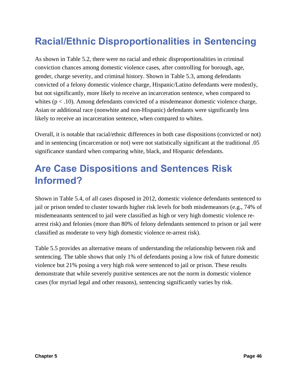# **Racial/Ethnic Disproportionalities in Sentencing**

As shown in Table 5.2, there were no racial and ethnic disproportionalities in criminal conviction chances among domestic violence cases, after controlling for borough, age, gender, charge severity, and criminal history. Shown in Table 5.3, among defendants convicted of a felony domestic violence charge, Hispanic/Latino defendants were modestly, but not significantly, more likely to receive an incarceration sentence, when compared to whites  $(p < .10)$ . Among defendants convicted of a misdemeanor domestic violence charge, Asian or additional race (nonwhite and non-Hispanic) defendants were significantly less likely to receive an incarceration sentence, when compared to whites.

Overall, it is notable that racial/ethnic differences in both case dispositions (convicted or not) and in sentencing (incarceration or not) were not statistically significant at the traditional .05 significance standard when comparing white, black, and Hispanic defendants.

# **Are Case Dispositions and Sentences Risk Informed?**

Shown in Table 5.4, of all cases disposed in 2012, domestic violence defendants sentenced to jail or prison tended to cluster towards higher risk levels for both misdemeanors (e.g., 74% of misdemeanants sentenced to jail were classified as high or very high domestic violence rearrest risk) and felonies (more than 80% of felony defendants sentenced to prison or jail were classified as moderate to very high domestic violence re-arrest risk).

Table 5.5 provides an alternative means of understanding the relationship between risk and sentencing. The table shows that only 1% of defendants posing a low risk of future domestic violence but 21% posing a very high risk were sentenced to jail or prison. These results demonstrate that while severely punitive sentences are not the norm in domestic violence cases (for myriad legal and other reasons), sentencing significantly varies by risk.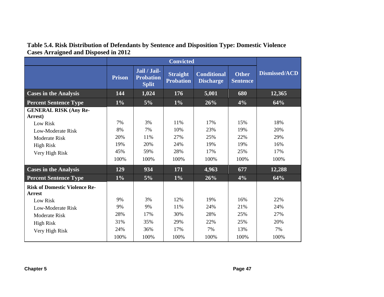|                                                       | <b>Prison</b> | Jail / Jail-<br><b>Probation</b><br><b>Split</b> | <b>Straight</b><br><b>Probation</b> | <b>Conditional</b><br><b>Discharge</b> | <b>Other</b><br><b>Sentence</b> | Dismissed/ACD |
|-------------------------------------------------------|---------------|--------------------------------------------------|-------------------------------------|----------------------------------------|---------------------------------|---------------|
| <b>Cases in the Analysis</b>                          | 144           | 1,024                                            | 176                                 | 5,001                                  | 680                             | 12,365        |
| <b>Percent Sentence Type</b>                          | $1\%$         | $5\%$                                            | $1\%$                               | 26%                                    | 4%                              | 64%           |
| <b>GENERAL RISK (Any Re-</b><br>Arrest)               |               |                                                  |                                     |                                        |                                 |               |
| Low Risk                                              | 7%            | 3%                                               | 11%                                 | 17%                                    | 15%                             | 18%           |
| <b>Low-Moderate Risk</b><br><b>Moderate Risk</b>      | 8%<br>20%     | 7%<br>11%                                        | 10%<br>27%                          | 23%<br>25%                             | 19%<br>22%                      | 20%<br>29%    |
| <b>High Risk</b>                                      | 19%           | 20%                                              | 24%                                 | 19%                                    | 19%                             | 16%           |
| Very High Risk                                        | 45%           | 59%                                              | 28%                                 | 17%                                    | 25%                             | 17%           |
|                                                       | 100%          | 100%                                             | 100%                                | 100%                                   | 100%                            | 100%          |
| <b>Cases in the Analysis</b>                          | 129           | 934                                              | 171                                 | 4,963                                  | 677                             | 12,288        |
| <b>Percent Sentence Type</b>                          | $1\%$         | 5%                                               | $1\%$                               | 26%                                    | 4%                              | 64%           |
| <b>Risk of Domestic Violence Re-</b><br><b>Arrest</b> |               |                                                  |                                     |                                        |                                 |               |
| <b>Low Risk</b>                                       | 9%            | 3%                                               | 12%                                 | 19%                                    | 16%                             | 22%           |
| Low-Moderate Risk                                     | 9%            | 9%                                               | 11%                                 | 24%                                    | 21%                             | 24%           |
| <b>Moderate Risk</b>                                  | 28%           | 17%                                              | 30%                                 | 28%                                    | 25%                             | 27%           |
| <b>High Risk</b>                                      | 31%           | 35%                                              | 29%                                 | 22%                                    | 25%                             | 20%           |
| Very High Risk                                        | 24%           | 36%                                              | 17%                                 | 7%                                     | 13%                             | 7%            |
|                                                       | 100%          | 100%                                             | 100%                                | 100%                                   | 100%                            | 100%          |

## **Table 5.4. Risk Distribution of Defendants by Sentence and Disposition Type: Domestic Violence Cases Arraigned and Disposed in 2012**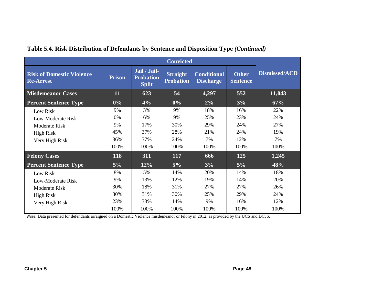| <b>Risk of Domestic Violence</b><br><b>Re-Arrest</b> | <b>Prison</b> | Jail / Jail-<br><b>Probation</b><br><b>Split</b> | <b>Straight</b><br><b>Probation</b> | <b>Conditional</b><br><b>Discharge</b> | <b>Other</b><br><b>Sentence</b> | Dismissed/ACD |
|------------------------------------------------------|---------------|--------------------------------------------------|-------------------------------------|----------------------------------------|---------------------------------|---------------|
| <b>Misdemeanor Cases</b>                             | 11            | 623                                              | 54                                  | 4,297                                  | 552                             | 11,043        |
| <b>Percent Sentence Type</b>                         | $0\%$         | 4%                                               | $0\%$                               | $2\%$                                  | 3%                              | 67%           |
| Low Risk                                             | 9%            | 3%                                               | 9%                                  | 18%                                    | 16%                             | 22%           |
| Low-Moderate Risk                                    | 0%            | 6%                                               | 9%                                  | 25%                                    | 23%                             | 24%           |
| Moderate Risk                                        | 9%            | 17%                                              | 30%                                 | 29%                                    | 24%                             | 27%           |
| <b>High Risk</b>                                     | 45%           | 37%                                              | 28%                                 | 21%                                    | 24%                             | 19%           |
| Very High Risk                                       | 36%           | 37%                                              | 24%                                 | 7%                                     | 12%                             | 7%            |
|                                                      | 100%          | 100%                                             | 100%                                | 100%                                   | 100%                            | 100%          |
| <b>Felony Cases</b>                                  | 118           | 311                                              | <b>117</b>                          | 666                                    | 125                             | 1,245         |
| <b>Percent Sentence Type</b>                         | 5%            | 12%                                              | $5\%$                               | 3%                                     | 5%                              | 48%           |
| Low Risk                                             | 8%            | 5%                                               | 14%                                 | 20%                                    | 14%                             | 18%           |
| Low-Moderate Risk                                    | 9%            | 13%                                              | 12%                                 | 19%                                    | 14%                             | 20%           |
| Moderate Risk                                        | 30%           | 18%                                              | 31%                                 | 27%                                    | 27%                             | 26%           |
| High Risk                                            | 30%           | 31%                                              | 30%                                 | 25%                                    | 29%                             | 24%           |
| Very High Risk                                       | 23%           | 33%                                              | 14%                                 | 9%                                     | 16%                             | 12%           |
|                                                      | 100%          | 100%                                             | 100%                                | 100%                                   | 100%                            | 100%          |

## **Table 5.4. Risk Distribution of Defendants by Sentence and Disposition Type** *(Continued)*

*Note*: Data presented for defendants arraigned on a Domestic Violence misdemeanor or felony in 2012, as provided by the UCS and DCJS.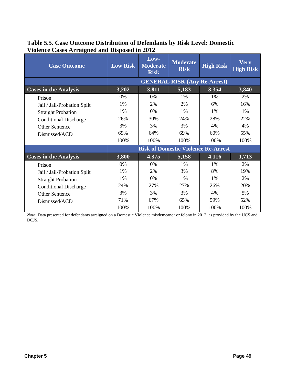| <b>Case Outcome</b>          | <b>Low Risk</b> | Low-<br><b>Moderate</b><br><b>Risk</b>     | <b>Moderate</b><br><b>Risk</b>      | <b>High Risk</b> | <b>Very</b><br><b>High Risk</b> |
|------------------------------|-----------------|--------------------------------------------|-------------------------------------|------------------|---------------------------------|
|                              |                 |                                            | <b>GENERAL RISK (Any Re-Arrest)</b> |                  |                                 |
| <b>Cases in the Analysis</b> | 3,202           | 3,811                                      | 5,183                               | 3,354            | 3,840                           |
| Prison                       | $0\%$           | 0%                                         | 1%                                  | 1%               | 2%                              |
| Jail / Jail-Probation Split  | 1%              | 2%                                         | 2%                                  | 6%               | 16%                             |
| <b>Straight Probation</b>    | 1%              | 0%                                         | 1%                                  | 1%               | 1%                              |
| <b>Conditional Discharge</b> | 26%             | 30%                                        | 24%                                 | 28%              | 22%                             |
| <b>Other Sentence</b>        | 3%              | 3%                                         | 3%                                  | 4%               | 4%                              |
| Dismissed/ACD                | 69%             | 64%                                        | 69%                                 | 60%              | 55%                             |
|                              | 100%            | 100%                                       | 100%                                | 100%             | 100%                            |
|                              |                 | <b>Risk of Domestic Violence Re-Arrest</b> |                                     |                  |                                 |
| <b>Cases in the Analysis</b> | 3,800           | 4,375                                      | 5,158                               | 4,116            | 1,713                           |
| Prison                       | $0\%$           | $0\%$                                      | $1\%$                               | 1%               | 2%                              |
| Jail / Jail-Probation Split  | 1%              | 2%                                         | 3%                                  | 8%               | 19%                             |
| <b>Straight Probation</b>    | $1\%$           | 0%                                         | $1\%$                               | $1\%$            | 2%                              |
| <b>Conditional Discharge</b> | 24%             | 27%                                        | 27%                                 | 26%              | 20%                             |
| Other Sentence               | 3%              | 3%                                         | 3%                                  | 4%               | 5%                              |
| Dismissed/ACD                | 71%             | 67%                                        | 65%                                 | 59%              | 52%                             |
|                              | 100%            | 100%                                       | 100%                                | 100%             | 100%                            |

### **Table 5.5. Case Outcome Distribution of Defendants by Risk Level: Domestic Violence Cases Arraigned and Disposed in 2012**

*Note*: Data presented for defendants arraigned on a Domestic Violence misdemeanor or felony in 2012, as provided by the UCS and DCJS.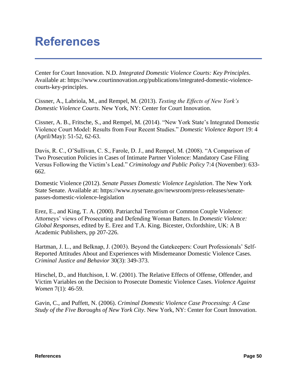# **References**

Center for Court Innovation. N.D. *Integrated Domestic Violence Courts: Key Principles*. Available at: [https://www.courtinnovation.org/publications/integrated-domestic-violence](https://www.courtinnovation.org/publications/integrated-domestic-violence-courts-key-principles)[courts-key-principles.](https://www.courtinnovation.org/publications/integrated-domestic-violence-courts-key-principles)

Cissner, A., Labriola, M., and Rempel, M. (2013). *Testing the Effects of New York's Domestic Violence Courts*. New York, NY: Center for Court Innovation.

Cissner, A. B., Fritsche, S., and Rempel, M. (2014). "New York State's Integrated Domestic Violence Court Model: Results from Four Recent Studies." *Domestic Violence Report* 19: 4 (April/May): 51-52, 62-63.

Davis, R. C., O'Sullivan, C. S., Farole, D. J., and Rempel, M. (2008). "A Comparison of Two Prosecution Policies in Cases of Intimate Partner Violence: Mandatory Case Filing Versus Following the Victim's Lead." *Criminology and Public Policy* 7:4 (November): 633- 662.

Domestic Violence (2012). *Senate Passes Domestic Violence Legislation*. The New York State Senate. Available at: https://www.nysenate.gov/newsroom/press-releases/senatepasses-domestic-violence-legislation

Erez, E., and King, T. A. (2000). Patriarchal Terrorism or Common Couple Violence: Attorneys' views of Prosecuting and Defending Woman Batters. In *Domestic Violence: Global Responses*, edited by E. Erez and T.A. King. Bicester, Oxfordshire, UK: A B Academic Publishers, pp 207-226.

Hartman, J. L., and Belknap, J. (2003). Beyond the Gatekeepers: Court Professionals' Self-Reported Attitudes About and Experiences with Misdemeanor Domestic Violence Cases. *Criminal Justice and Behavior* 30(3): 349-373.

Hirschel, D., and Hutchison, I. W. (2001). The Relative Effects of Offense, Offender, and Victim Variables on the Decision to Prosecute Domestic Violence Cases. *Violence Against Women* 7(1): 46-59.

Gavin, C., and Puffett, N. (2006). *Criminal Domestic Violence Case Processing: A Case Study of the Five Boroughs of New York City*. New York, NY: Center for Court Innovation.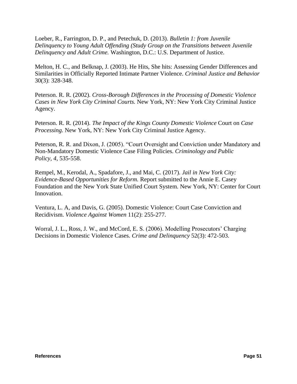Loeber, R., Farrington, D. P., and Petechuk, D. (2013). *Bulletin 1: from Juvenile Delinquency to Young Adult Offending (Study Group on the Transitions between Juvenile Delinquency and Adult Crime.* Washington, D.C.: U.S. Department of Justice.

Melton, H. C., and Belknap, J. (2003). He Hits, She hits: Assessing Gender Differences and Similarities in Officially Reported Intimate Partner Violence. *Criminal Justice and Behavior* 30(3): 328-348.

Peterson. R. R. (2002). *Cross-Borough Differences in the Processing of Domestic Violence Cases in New York City Criminal Courts.* New York, NY: New York City Criminal Justice Agency.

Peterson. R. R. (2014). *The Impact of the Kings County Domestic Violence* Court on *Case Processing.* New York, NY: New York City Criminal Justice Agency.

Peterson, R. R. and Dixon, J. (2005). "Court Oversight and Conviction under Mandatory and Non-Mandatory Domestic Violence Case Filing Policies. *Criminology and Public Policy, 4,* 535-558.

Rempel, M., Kerodal, A., Spadafore, J., and Mai, C. (2017). *Jail in New York City: Evidence-Based Opportunities for Reform.* Report submitted to the Annie E. Casey Foundation and the New York State Unified Court System. New York, NY: Center for Court Innovation.

Ventura, L. A, and Davis, G. (2005). Domestic Violence: Court Case Conviction and Recidivism. *Violence Against Women* 11(2): 255-277.

Worral, J. L., Ross, J. W., and McCord, E. S. (2006). Modelling Prosecutors' Charging Decisions in Domestic Violence Cases. *Crime and Delinquency* 52(3): 472-503.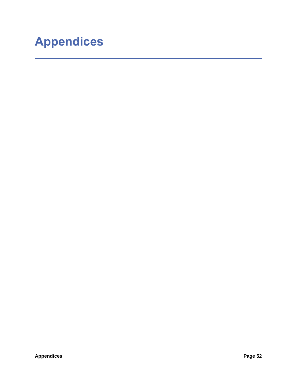# **Appendices**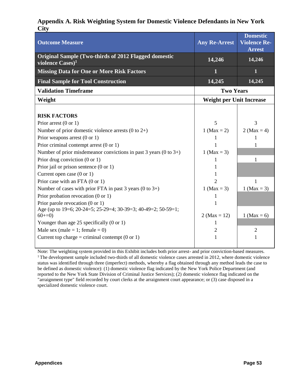#### **Appendix A. Risk Weighting System for Domestic Violence Defendants in New York City**

| <b>Outcome Measure</b>                                                                      | <b>Any Re-Arrest</b>            | <b>Domestic</b><br><b>Violence Re-</b><br><b>Arrest</b> |
|---------------------------------------------------------------------------------------------|---------------------------------|---------------------------------------------------------|
| <b>Original Sample (Two-thirds of 2012 Flagged domestic</b><br>violence Cases) <sup>1</sup> | 14,246                          | 14,246                                                  |
| <b>Missing Data for One or More Risk Factors</b>                                            | 1                               | 1                                                       |
| <b>Final Sample for Tool Construction</b>                                                   | 14,245                          | 14,245                                                  |
| <b>Validation Timeframe</b>                                                                 | <b>Two Years</b>                |                                                         |
| Weight                                                                                      | <b>Weight per Unit Increase</b> |                                                         |
|                                                                                             |                                 |                                                         |
| <b>RISK FACTORS</b>                                                                         |                                 |                                                         |
| Prior arrest $(0 \text{ or } 1)$                                                            | 5                               | 3                                                       |
| Number of prior domestic violence arrests $(0 \text{ to } 2+)$                              | 1 (Max = 2)                     | 2 (Max = 4)                                             |
| Prior weapons arrest $(0 \text{ or } 1)$                                                    |                                 |                                                         |
| Prior criminal contempt arrest $(0 \text{ or } 1)$                                          |                                 |                                                         |
| Number of prior misdemeanor convictions in past 3 years $(0 \text{ to } 3+)$                | 1 (Max = 3)                     |                                                         |
| Prior drug conviction $(0 \text{ or } 1)$                                                   | 1                               | 1                                                       |
| Prior jail or prison sentence $(0 \text{ or } 1)$                                           |                                 |                                                         |
| Current open case $(0 \text{ or } 1)$                                                       |                                 |                                                         |
| Prior case with an FTA $(0 \text{ or } 1)$                                                  | 2                               | 1                                                       |
| Number of cases with prior FTA in past $3$ years (0 to $3+$ )                               | 1 (Max = 3)                     | 1 ( $Max = 3$ )                                         |
| Prior probation revocation $(0 \text{ or } 1)$                                              |                                 |                                                         |
| Prior parole revocation $(0 \text{ or } 1)$                                                 |                                 |                                                         |
| Age (up to 19=6; 20-24=5; 25-29=4; 30-39=3; 40-49=2; 50-59=1;                               |                                 |                                                         |
| $60+=0$ )                                                                                   | 2 (Max = 12)                    | 1 (Max = 6)                                             |
| Younger than age 25 specifically $(0 \text{ or } 1)$                                        | 1                               |                                                         |
| Male sex (male = 1; female = 0)                                                             | $\overline{2}$                  | $\overline{2}$                                          |
| Current top charge = criminal contempt $(0 \text{ or } 1)$                                  | 1                               | 1                                                       |
|                                                                                             |                                 |                                                         |

Note: The weighting system provided in this Exhibit includes both prior arrest- and prior conviction-based measures.  $1$ <sup>1</sup> The development sample included two-thirds of all domestic violence cases arrested in 2012, where domestic violence status was identified through three (imperfect) methods, whereby a flag obtained through any method leads the case to be defined as domestic violence): (1) domestic violence flag indicated by the New York Police Department (and reported to the New York State Division of Criminal Justice Services); (2) domestic violence flag indicated on the "arraignment type" field recorded by court clerks at the arraignment court appearance; or (3) case disposed in a specialized domestic violence court.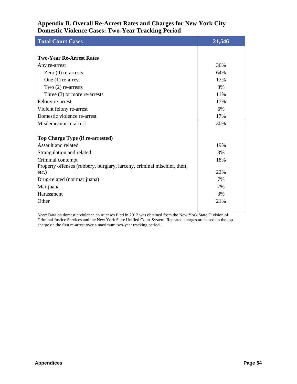### **Appendix B. Overall Re-Arrest Rates and Charges for New York City Domestic Violence Cases: Two-Year Tracking Period**

| <b>Total Court Cases</b>                                                 | 21,546 |
|--------------------------------------------------------------------------|--------|
|                                                                          |        |
| <b>Two-Year Re-Arrest Rates</b>                                          |        |
| Any re-arrest                                                            | 36%    |
| Zero $(0)$ re-arrests                                                    | 64%    |
| One $(1)$ re-arrest                                                      | 17%    |
| Two $(2)$ re-arrests                                                     | 8%     |
| Three $(3)$ or more re-arrests                                           | 11%    |
| Felony re-arrest                                                         | 15%    |
| Violent felony re-arrest                                                 | 6%     |
| Domestic violence re-arrest                                              | 17%    |
| Misdemeanor re-arrest                                                    | 30%    |
| Top Charge Type (if re-arrested)                                         |        |
| Assault and related                                                      | 19%    |
| Strangulation and related                                                | 3%     |
| Criminal contempt                                                        | 18%    |
| Property offenses (robbery, burglary, larceny, criminal mischief, theft, |        |
| $etc.$ )                                                                 | 22%    |
| Drug-related (not marijuana)                                             | 7%     |
| Marijuana                                                                | 7%     |
| Harassment                                                               | 3%     |
| Other                                                                    | 21%    |
|                                                                          |        |

*Note*: Data on domestic violence court cases filed in 2012 was obtained from the New York State Division of Criminal Justice Services and the New York State Unified Court System. Reported charges are based on the top charge on the first re-arrest over a maximum two-year tracking period.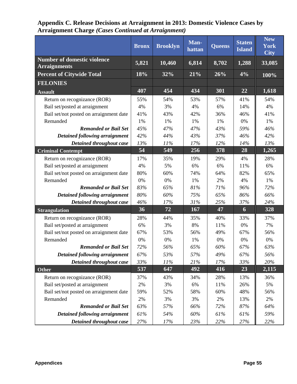|                                                           | <b>Bronx</b> | <b>Brooklyn</b> | Man-<br>hattan | <b>Queens</b> | <b>Staten</b><br><b>Island</b> | <b>New</b><br><b>York</b><br>City |
|-----------------------------------------------------------|--------------|-----------------|----------------|---------------|--------------------------------|-----------------------------------|
| <b>Number of domestic violence</b><br><b>Arraignments</b> | 5,821        | 10,460          | 6,814          | 8,702         | 1,288                          | 33,085                            |
| <b>Percent of Citywide Total</b>                          | 18%          | 32%             | 21%            | 26%           | 4%                             | 100%                              |
| <b>FELONIES</b>                                           |              |                 |                |               |                                |                                   |
| <b>Assault</b>                                            | 407          | 454             | 434            | 301           | 22                             | 1,618                             |
| Return on recognizance (ROR)                              | 55%          | 54%             | 53%            | 57%           | 41%                            | 54%                               |
| Bail set/posted at arraignment                            | 4%           | 3%              | 4%             | 6%            | 14%                            | 4%                                |
| Bail set/not posted on arraignment date                   | 41%          | 43%             | 42%            | 36%           | 46%                            | 41%                               |
| Remanded                                                  | 1%           | 1%              | 1%             | 1%            | 0%                             | 1%                                |
| <b>Remanded or Bail Set</b>                               | 45%          | 47%             | 47%            | 43%           | 59%                            | 46%                               |
| <b>Detained following arraignment</b>                     | 42%          | 44%             | 43%            | 37%           | 46%                            | 42%                               |
| Detained throughout case                                  | 13%          | 11%             | 17%            | 12%           | 14%                            | 13%                               |
| <b>Criminal Contempt</b>                                  | 54           | 549             | 256            | 378           | 28                             | 1,265                             |
| Return on recognizance (ROR)                              | 17%          | 35%             | 19%            | 29%           | 4%                             | 28%                               |
| Bail set/posted at arraignment                            | 4%           | 5%              | 6%             | 6%            | 11%                            | 6%                                |
| Bail set/not posted on arraignment date                   | 80%          | 60%             | 74%            | 64%           | 82%                            | 65%                               |
| Remanded                                                  | 0%           | 0%              | 1%             | 2%            | 4%                             | 1%                                |
| <b>Remanded or Bail Set</b>                               | 83%          | 65%             | 81%            | 71%           | 96%                            | 72%                               |
| Detained following arraignment                            | 80%          | 60%             | 75%            | 65%           | 86%                            | 66%                               |
| Detained throughout case                                  | 46%          | 17%             | 31%            | 25%           | 37%                            | 24%                               |
| <b>Strangulation</b>                                      | 36           | 72              | 167            | 47            | 6                              | 328                               |
| Return on recognizance (ROR)                              | 28%          | 44%             | 35%            | 40%           | 33%                            | 37%                               |
| Bail set/posted at arraignment                            | 6%           | 3%              | 8%             | 11%           | 0%                             | 7%                                |
| Bail set/not posted on arraignment date                   | 67%          | 53%             | 56%            | 49%           | 67%                            | 56%                               |
| Remanded                                                  | 0%           | 0%              | 1%             | 0%            | 0%                             | 0%                                |
| <b>Remanded or Bail Set</b>                               | 72%          | 56%             | 65%            | 60%           | 67%                            | 63%                               |
| Detained following arraignment                            | 67%          | 53%             | 57%            | 49%           | 67%                            | 56%                               |
| Detained throughout case                                  | 33%          | 11%             | 21%            | 17%           | 33%                            | 20%                               |
| <b>Other</b>                                              | 537          | 647             | 492            | 416           | 23                             | 2,115                             |
| Return on recognizance (ROR)                              | 37%          | 43%             | 34%            | 28%           | 13%                            | 36%                               |
| Bail set/posted at arraignment                            | 2%           | 3%              | 6%             | 11%           | 26%                            | 5%                                |
| Bail set/not posted on arraignment date                   | 59%          | 52%             | 58%            | 60%           | 48%                            | 56%                               |
| Remanded                                                  | 2%           | 3%              | 3%             | 2%            | 13%                            | 2%                                |
| <b>Remanded or Bail Set</b>                               | 63%          | 57%             | 66%            | 72%           | 87%                            | 64%                               |
| Detained following arraignment                            | 61%          | 54%             | 60%            | 61%           | 61%                            | 59%                               |
| Detained throughout case                                  | 27%          | 17%             | 23%            | 22%           | 27%                            | $22\%$                            |

| Appendix C. Release Decisions at Arraignment in 2013: Domestic Violence Cases by |
|----------------------------------------------------------------------------------|
| <b>Arraignment Charge (Cases Continued at Arraignment)</b>                       |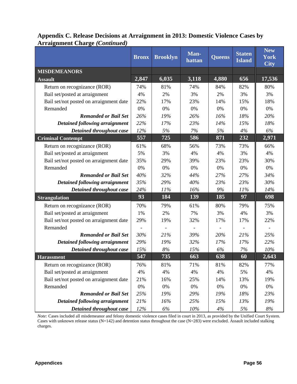|                                         | <b>Bronx</b> | <b>Brooklyn</b> | Man-<br>hattan | <b>Queens</b> | <b>Staten</b><br><b>Island</b> | <b>New</b><br><b>York</b><br>City |
|-----------------------------------------|--------------|-----------------|----------------|---------------|--------------------------------|-----------------------------------|
| <b>MISDEMEANORS</b>                     |              |                 |                |               |                                |                                   |
| <b>Assault</b>                          | 2,847        | 6,035           | 3,118          | 4,880         | $\overline{656}$               | 17,536                            |
| Return on recognizance (ROR)            | 74%          | 81%             | 74%            | 84%           | 82%                            | 80%                               |
| Bail set/posted at arraignment          | 4%           | 2%              | 3%             | 2%            | 3%                             | 3%                                |
| Bail set/not posted on arraignment date | 22%          | 17%             | 23%            | 14%           | 15%                            | 18%                               |
| Remanded                                | 0%           | 0%              | 0%             | 0%            | 0%                             | 0%                                |
| <b>Remanded or Bail Set</b>             | 26%          | 19%             | 26%            | 16%           | 18%                            | 20%                               |
| Detained following arraignment          | 22%          | 17%             | 23%            | 14%           | 15%                            | 18%                               |
| Detained throughout case                | 12%          | 5%              | 7%             | 5%            | 4%                             | 6%                                |
| <b>Criminal Contempt</b>                | 557          | 725             | 586            | 871           | 232                            | 2,971                             |
| Return on recognizance (ROR)            | 61%          | 68%             | 56%            | 73%           | 73%                            | 66%                               |
| Bail set/posted at arraignment          | 5%           | 3%              | 4%             | 4%            | 3%                             | 4%                                |
| Bail set/not posted on arraignment date | 35%          | 29%             | 39%            | 23%           | 23%                            | 30%                               |
| Remanded                                | 0%           | 0%              | 0%             | 0%            | 0%                             | 0%                                |
| <b>Remanded or Bail Set</b>             | 40%          | 32%             | 44%            | 27%           | 27%                            | 34%                               |
| Detained following arraignment          | 35%          | 29%             | 40%            | 23%           | 23%                            | 30%                               |
| Detained throughout case                | 24%          | 11%             | 16%            | 9%            | 11%                            | 14%                               |
| <b>Strangulation</b>                    | 93           | 184             | 139            | 185           | 97                             | 698                               |
| Return on recognizance (ROR)            | 70%          | 79%             | 61%            | 80%           | 79%                            | 75%                               |
| Bail set/posted at arraignment          | 1%           | 2%              | 7%             | 3%            | 4%                             | 3%                                |
| Bail set/not posted on arraignment date | 29%          | 19%             | 32%            | 17%           | 17%                            | 22%                               |
| Remanded                                |              |                 |                |               |                                |                                   |
| <b>Remanded or Bail Set</b>             | 30%          | 21%             | 39%            | 20%           | 21%                            | 25%                               |
| Detained following arraignment          | 29%          | 19%             | 32%            | 17%           | 17%                            | 22%                               |
| Detained throughout case                | 15%          | $8\%$           | 15%            | 6%            | $7\%$                          | 10%                               |
| <b>Harassment</b>                       | 547          | 735             | 663            | 638           | 60                             | 2,643                             |
| Return on recognizance (ROR)            | 76%          | 81%             | 71%            | 81%           | 82%                            | 77%                               |
| Bail set/posted at arraignment          | 4%           | 4%              | 4%             | 4%            | 5%                             | 4%                                |
| Bail set/not posted on arraignment date | 21%          | 16%             | 25%            | 14%           | 13%                            | 19%                               |
| Remanded                                | 0%           | 0%              | 0%             | 0%            | 0%                             | $0\%$                             |
| <b>Remanded or Bail Set</b>             | 25%          | 19%             | 29%            | 19%           | 18%                            | 23%                               |
| Detained following arraignment          | 21%          | 16%             | 25%            | 15%           | 13%                            | 19%                               |
| Detained throughout case                | 12%          | $6\%$           | $10\%$         | 4%            | $5\%$                          | $8\%$                             |

### **Appendix C. Release Decisions at Arraignment in 2013: Domestic Violence Cases by Arraignment Charge** *(Continued)*

*Note:* Cases included all misdemeanor and felony domestic violence cases filed in court in 2013, as provided by the Unified Court System. Cases with unknown release status (N=142) and detention status throughout the case (N=283) were excluded. Assault included stalking charges.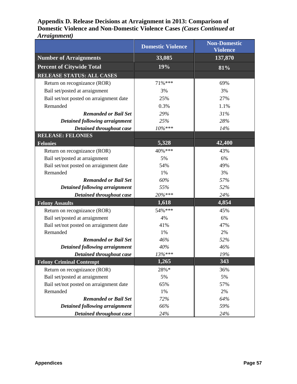### **Appendix D. Release Decisions at Arraignment in 2013: Comparison of Domestic Violence and Non-Domestic Violence Cases** *(Cases Continued at Arraignment)*

|                                         | <b>Domestic Violence</b> | <b>Non-Domestic</b><br><b>Violence</b> |
|-----------------------------------------|--------------------------|----------------------------------------|
| <b>Number of Arraignments</b>           | 33,085                   | 137,870                                |
| <b>Percent of Citywide Total</b>        | 19%                      | 81%                                    |
| RELEASE STATUS: ALL CASES               |                          |                                        |
| Return on recognizance (ROR)            | 71%***                   | 69%                                    |
| Bail set/posted at arraignment          | 3%                       | 3%                                     |
| Bail set/not posted on arraignment date | 25%                      | 27%                                    |
| Remanded                                | 0.3%                     | 1.1%                                   |
| <b>Remanded or Bail Set</b>             | 29%                      | 31%                                    |
| Detained following arraignment          | 25%                      | 28%                                    |
| Detained throughout case                | $10\%***$                | 14%                                    |
| <b>RELEASE: FELONIES</b>                |                          |                                        |
| <b>Felonies</b>                         | 5,328                    | 42,400                                 |
| Return on recognizance (ROR)            | 40%***                   | 43%                                    |
| Bail set/posted at arraignment          | 5%                       | 6%                                     |
| Bail set/not posted on arraignment date | 54%                      | 49%                                    |
| Remanded                                | 1%                       | 3%                                     |
| <b>Remanded or Bail Set</b>             | 60%                      | 57%                                    |
| <b>Detained following arraignment</b>   | 55%                      | 52%                                    |
| Detained throughout case                | 20%***                   | 24%                                    |
| <b>Felony Assaults</b>                  | 1,618                    | 4,854                                  |
| Return on recognizance (ROR)            | 54%***                   | 45%                                    |
| Bail set/posted at arraignment          | 4%                       | 6%                                     |
| Bail set/not posted on arraignment date | 41%                      | 47%                                    |
| Remanded                                | 1%                       | 2%                                     |
| <b>Remanded or Bail Set</b>             | 46%                      | 52%                                    |
| Detained following arraignment          | 40%                      | 46%                                    |
| Detained throughout case                | $13\%***$                | 19%                                    |
| <b>Felony Criminal Contempt</b>         | 1,265                    | 343                                    |
| Return on recognizance (ROR)            | 28%*                     | 36%                                    |
| Bail set/posted at arraignment          | 5%                       | 5%                                     |
| Bail set/not posted on arraignment date | 65%                      | 57%                                    |
| Remanded                                | 1%                       | 2%                                     |
| <b>Remanded or Bail Set</b>             | 72%                      | 64%                                    |
| Detained following arraignment          | 66%                      | 59%                                    |
| Detained throughout case                | 24%                      | 24%                                    |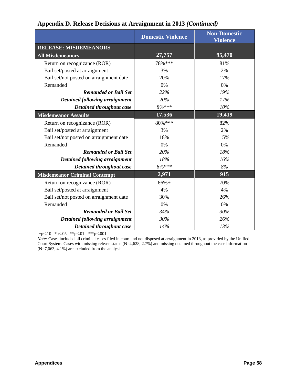|  | Appendix D. Release Decisions at Arraignment in 2013 (Continued) |  |  |
|--|------------------------------------------------------------------|--|--|
|--|------------------------------------------------------------------|--|--|

|                                         | <b>Domestic Violence</b> | <b>Non-Domestic</b><br><b>Violence</b> |
|-----------------------------------------|--------------------------|----------------------------------------|
| <b>RELEASE: MISDEMEANORS</b>            |                          |                                        |
| <b>All Misdemeanors</b>                 | 27,757                   | 95,470                                 |
| Return on recognizance (ROR)            | 78%***                   | 81%                                    |
| Bail set/posted at arraignment          | 3%                       | 2%                                     |
| Bail set/not posted on arraignment date | 20%                      | 17%                                    |
| Remanded                                | 0%                       | 0%                                     |
| <b>Remanded or Bail Set</b>             | 22%                      | 19%                                    |
| Detained following arraignment          | 20%                      | 17%                                    |
| Detained throughout case                | 8%***                    | 10%                                    |
| <b>Misdemeanor Assaults</b>             | 17,536                   | 19,419                                 |
| Return on recognizance (ROR)            | 80%***                   | 82%                                    |
| Bail set/posted at arraignment          | 3%                       | 2%                                     |
| Bail set/not posted on arraignment date | 18%                      | 15%                                    |
| Remanded                                | 0%                       | 0%                                     |
| <b>Remanded or Bail Set</b>             | 20%                      | 18%                                    |
| <b>Detained following arraignment</b>   | 18%                      | 16%                                    |
| Detained throughout case                | $6\%***$                 | 8%                                     |
| <b>Misdemeanor Criminal Contempt</b>    | 2,971                    | 915                                    |
| Return on recognizance (ROR)            | $66%+$                   | 70%                                    |
| Bail set/posted at arraignment          | 4%                       | 4%                                     |
| Bail set/not posted on arraignment date | 30%                      | 26%                                    |
| Remanded                                | 0%                       | 0%                                     |
| <b>Remanded or Bail Set</b>             | 34%                      | 30%                                    |
| Detained following arraignment          | 30%                      | 26%                                    |
| Detained throughout case                | 14%                      | 13%                                    |

+p<.10 \*p<.05 \*\*p<.01 \*\*\*p<.001

*Note:* Cases included all criminal cases filed in court and not disposed at arraignment in 2013, as provided by the Unified Court System. Cases with missing release status (N=4,628, 2.7%) and missing detained throughout the case information  $(N=7,063, 4.1\%)$  are excluded from the analysis.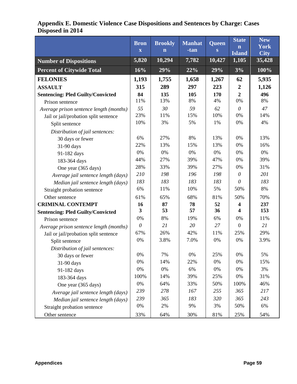|                                          | <b>Bron</b><br>$\mathbf X$ | <b>Brookly</b><br>$\mathbf n$ | <b>Manhat</b><br>-tan | <b>Queen</b><br>S | <b>State</b><br>$\mathbf n$<br><b>Island</b> | <b>New</b><br><b>York</b><br><b>City</b> |
|------------------------------------------|----------------------------|-------------------------------|-----------------------|-------------------|----------------------------------------------|------------------------------------------|
| <b>Number of Dispositions</b>            | 5,820                      | 10,294                        | 7,782                 | 10,427            | 1,105                                        | 35,428                                   |
| <b>Percent of Citywide Total</b>         | 16%                        | 29%                           | 22%                   | 29%               | 3%                                           | 100%                                     |
| <b>FELONIES</b>                          | 1,193                      | 1,755                         | 1,658                 | 1,267             | 62                                           | 5,935                                    |
| <b>ASSAULT</b>                           | 315                        | 289                           | 297                   | 223               | $\boldsymbol{2}$                             | 1,126                                    |
| <b>Sentencing: Pled Guilty/Convicted</b> | 84                         | 135                           | 105                   | 170               | $\boldsymbol{2}$                             | 496                                      |
| Prison sentence                          | 11%                        | 13%                           | 8%                    | 4%                | 0%                                           | 8%                                       |
| Average prison sentence length (months)  | 55                         | 30                            | 59                    | 62                | $\theta$                                     | 47                                       |
| Jail or jail/probation split sentence    | 23%                        | 11%                           | 15%                   | 10%               | 0%                                           | 14%                                      |
| Split sentence                           | 10%                        | 3%                            | 5%                    | 1%                | 0%                                           | 4%                                       |
| Distribution of jail sentences:          |                            |                               |                       |                   |                                              |                                          |
| 30 days or fewer                         | 6%                         | 27%                           | 8%                    | 13%               | 0%                                           | 13%                                      |
| 31-90 days                               | 22%                        | 13%                           | 15%                   | 13%               | 0%                                           | 16%                                      |
| 91-182 days                              | 0%                         | 0%                            | 0%                    | 0%                | 0%                                           | 0%                                       |
| 183-364 days                             | 44%                        | 27%                           | 39%                   | 47%               | 0%                                           | 39%                                      |
| One year (365 days)                      | 28%                        | 33%                           | 39%                   | 27%               | 0%                                           | 31%                                      |
| Average jail sentence length (days)      | 210                        | 198                           | 196                   | 198               | $\theta$                                     | 201                                      |
| Median jail sentence length (days)       | 183                        | 183                           | 183                   | 183               | $\theta$                                     | 183                                      |
| Straight probation sentence              | 6%                         | 11%                           | 10%                   | 5%                | 50%                                          | 8%                                       |
| Other sentence                           | 61%                        | 65%                           | 68%                   | 81%               | 50%                                          | 70%                                      |
| <b>CRIMINAL CONTEMPT</b>                 | 16                         | 87                            | 78                    | 52                | 4                                            | 237                                      |
| <b>Sentencing: Pled Guilty/Convicted</b> | 3                          | 53                            | 57                    | 36                | 4                                            | 153                                      |
| Prison sentence                          | 0%                         | 8%                            | 19%                   | 6%                | 0%                                           | 11%                                      |
| Average prison sentence length (months)  | $\theta$                   | 21                            | 20                    | 27                | $\mathbf{0}$                                 | 21                                       |
| Jail or jail/probation split sentence    | 67%                        | 26%                           | 42%                   | 11%               | 25%                                          | 29%                                      |
| Split sentence                           | 0%                         | 3.8%                          | 7.0%                  | 0%                | 0%                                           | 3.9%                                     |
| Distribution of jail sentences:          |                            |                               |                       |                   |                                              |                                          |
| 30 days or fewer                         | $0\%$                      | 7%                            | 0%                    | 25%               | $0\%$                                        | 5%                                       |
| 31-90 days                               | 0%                         | 14%                           | 22%                   | 0%                | 0%                                           | 15%                                      |
| 91-182 days                              | 0%                         | $0\%$                         | 6%                    | 0%                | $0\%$                                        | 3%                                       |
| 183-364 days                             | 100%                       | 14%                           | 39%                   | 25%               | $0\%$                                        | 31%                                      |
| One year (365 days)                      | 0%                         | 64%                           | 33%                   | 50%               | 100%                                         | 46%                                      |
| Average jail sentence length (days)      | 239                        | 278                           | 167                   | 255               | 365                                          | 217                                      |
| Median jail sentence length (days)       | 239                        | 365                           | 183                   | 320               | 365                                          | 243                                      |
| Straight probation sentence              | 0%                         | 2%                            | 9%                    | 3%                | 50%                                          | 6%                                       |
| Other sentence                           | 33%                        | 64%                           | 30%                   | 81%               | 25%                                          | 54%                                      |

## **Appendix E. Domestic Violence Case Dispositions and Sentences by Charge: Cases Disposed in 2014**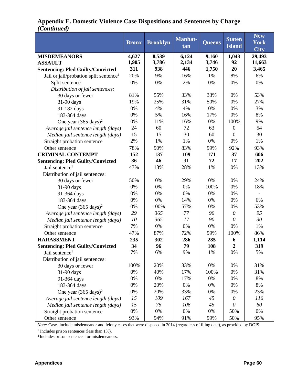|                                                    | <b>Bronx</b> | <b>Brooklyn</b> | <b>Manhat-</b><br>tan | <b>Queens</b> | <b>Staten</b><br><b>Island</b> | <b>New</b><br><b>York</b><br><b>City</b> |
|----------------------------------------------------|--------------|-----------------|-----------------------|---------------|--------------------------------|------------------------------------------|
| <b>MISDEMEANORS</b>                                | 4,627        | 8,539           | 6,124                 | 9,160         | 1,043                          | 29,493                                   |
| <b>ASSAULT</b>                                     | 1,905        | 3,786           | 2,134                 | 3,746         | 92                             | 11,663                                   |
| <b>Sentencing: Pled Guilty/Convicted</b>           | 311          | 938             | 446                   | 1,750         | 20                             | 3,465                                    |
| Jail or jail/probation split sentence <sup>1</sup> | 20%          | 9%              | 16%                   | 1%            | 8%                             | 6%                                       |
| Split sentence                                     | 0%           | 0%              | 2%                    | 0%            | 0%                             | 0%                                       |
| Distribution of jail sentences:                    |              |                 |                       |               |                                |                                          |
| 30 days or fewer                                   | 81%          | 55%             | 33%                   | 33%           | 0%                             | 53%                                      |
| 31-90 days                                         | 19%          | 25%             | 31%                   | 50%           | 0%                             | 27%                                      |
| 91-182 days                                        | 0%           | 4%              | 4%                    | 0%            | 0%                             | 3%                                       |
| 183-364 days                                       | 0%           | 5%              | 16%                   | 17%           | 0%                             | 8%                                       |
| One year $(365 \text{ days})^2$                    | 0%           | 11%             | 16%                   | 0%            | 100%                           | 9%                                       |
| Average jail sentence length (days)                | 24           | 60              | 72                    | 63            | $\mathbf{0}$                   | 54                                       |
| Median jail sentence length (days)                 | 15           | 15              | 30                    | 60            | $\theta$                       | 30                                       |
| Straight probation sentence                        | 2%           | 1%              | 1%                    | 0%            | 0%                             | 1%                                       |
| Other sentence                                     | 78%          | 90%             | 83%                   | 99%           | 92%                            | 93%                                      |
| <b>CRIMINAL CONTEMPT</b>                           | 152          | 137             | 109                   | 171           | 37                             | 606                                      |
| <b>Sentencing: Pled Guilty/Convicted</b>           | 36           | 46              | 31                    | 72            | 17                             | 202                                      |
| Jail sentence <sup>1</sup>                         | 47%          | 13%             | 28%                   | 1%            | 0%                             | 13%                                      |
| Distribution of jail sentences:                    |              |                 |                       |               |                                |                                          |
| 30 days or fewer                                   | 50%          | 0%              | 29%                   | 0%            | 0%                             | 24%                                      |
| 31-90 days                                         | 0%           | 0%              | 0%                    | 100%          | 0%                             | 18%                                      |
| 91-364 days                                        | 0%           | 0%              | 0%                    | 0%            | 0%                             |                                          |
| 183-364 days                                       | 0%           | 0%              | 14%                   | 0%            | 0%                             | 6%                                       |
| One year $(365 \text{ days})^2$                    | 0%           | 100%            | 57%                   | 0%            | 0%                             | 53%                                      |
| Average jail sentence length (days)                | 29           | 365             | 77                    | 90            | $\theta$                       | 95                                       |
| Median jail sentence length (days)                 | 10           | 365             | 17                    | 90            | $\theta$                       | 30                                       |
| Straight probation sentence                        | 7%           | 0%              | 0%                    | 0%            | 0%                             | 1%                                       |
| Other sentence                                     | 47%          | 87%             | 72%                   | 99%           | 100%                           | 86%                                      |
| <b>HARASSMENT</b>                                  | 235          | 302             | 286                   | 285           | 6                              | 1,114                                    |
| <b>Sentencing: Pled Guilty/Convicted</b>           | 34           | 96              | 79                    | 108           | $\overline{2}$                 | 319                                      |
| Jail sentence <sup>1</sup>                         | 7%           | 6%              | 9%                    | 1%            | 0%                             | 5%                                       |
| Distribution of jail sentences:                    |              |                 |                       |               |                                |                                          |
| 30 days or fewer                                   | 100%         | 20%             | 33%                   | 0%            | 0%                             | 31%                                      |
| 31-90 days                                         | 0%           | 40%             | 17%                   | 100%          | 0%                             | 31%                                      |
| 91-364 days                                        | 0%           | 0%              | 17%                   | 0%            | 0%                             | 8%                                       |
| 183-364 days                                       | 0%           | 20%             | 0%                    | 0%            | 0%                             | 8%                                       |
| One year $(365 \text{ days})^2$                    | 0%           | 20%             | 33%                   | 0%            | 0%                             | 23%                                      |
| Average jail sentence length (days)                | 15           | 109             | 167                   | 45            | $\theta$                       | 116                                      |
| Median jail sentence length (days)                 | 15           | 75              | 106                   | 45            | $\theta$                       | 60                                       |
| Straight probation sentence                        | $0\%$        | $0\%$           | $0\%$                 | 0%            | 50%                            | 0%                                       |
| Other sentence                                     | 93%          | 94%             | 91%                   | 99%           | 50%                            | 95%                                      |

### **Appendix E. Domestic Violence Case Dispositions and Sentences by Charge**  *(Continued)*

*Note:* Cases include misdemeanor and felony cases that were disposed in 2014 (regardless of filing date), as provided by DCJS.

1 Includes prison sentences (less than 1%).

2 Includes prison sentences for misdemeanors.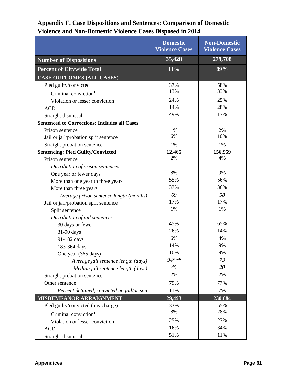### **Domestic Violence Cases Non-Domestic Violence Cases Number of Dispositions 35,428 279,708 Percent of Citywide Total 11% 89% CASE OUTCOMES (ALL CASES)** Pled guilty/convicted 37% 88%  $C$ riminal conviction<sup>1</sup> 13% 33% Violation or lesser conviction 24% 25% ACD  $14\%$  28% Straight dismissal 49% 13% **Sentenced to Corrections: Includes all Cases** Prison sentence 1% 2% 2% Jail or jail/probation split sentence 6% 10% Straight probation sentence 1% 1% 1% 1% **Sentencing: Pled Guilty/Convicted 12,465 156,959** Prison sentence 2% 2% 4%  *Distribution of prison sentences:* One year or fewer days 8% 8% 9% More than one year to three years 155% 56% More than three years 37% 36% *Average prison sentence length (months) 69 58* Jail or jail/probation split sentence 17% 17% 17% Split sentence 1% 1% 1% 1%  *Distribution of jail sentences:*  $30 \text{ days or fewer}$  45% 65% 31-90 days 26%  $\parallel$  14% 91-182 days 6%  $\begin{array}{|c|c|c|c|c|c|} \hline \end{array}$  4% 183-364 days 183-364 days 19% One year (365 days)  $10\%$  9%  *Average jail sentence length (days) 94\*\*\* 73 Median jail sentence length (days) 45 20* Straight probation sentence 2% 2% 2% Other sentence 79% 77% *Percent detained, convicted no jail/prison* 11% 11% 7% **MISDEMEANOR ARRAIGNMENT 29,493 230,884** Pled guilty/convicted (any charge) 33% 55%<br>  $\begin{array}{ccc}\n\text{Criminal conviation} & & 33\% \\
\text{C}{39}\n\end{array}$  55%  $C$ riminal conviction<sup>1</sup> 8% Violation or lesser conviction 25% 25% 27% ACD  $16\%$   $16\%$   $34\%$ Straight dismissal 51% 11%

## **Appendix F. Case Dispositions and Sentences: Comparison of Domestic Violence and Non-Domestic Violence Cases Disposed in 2014**